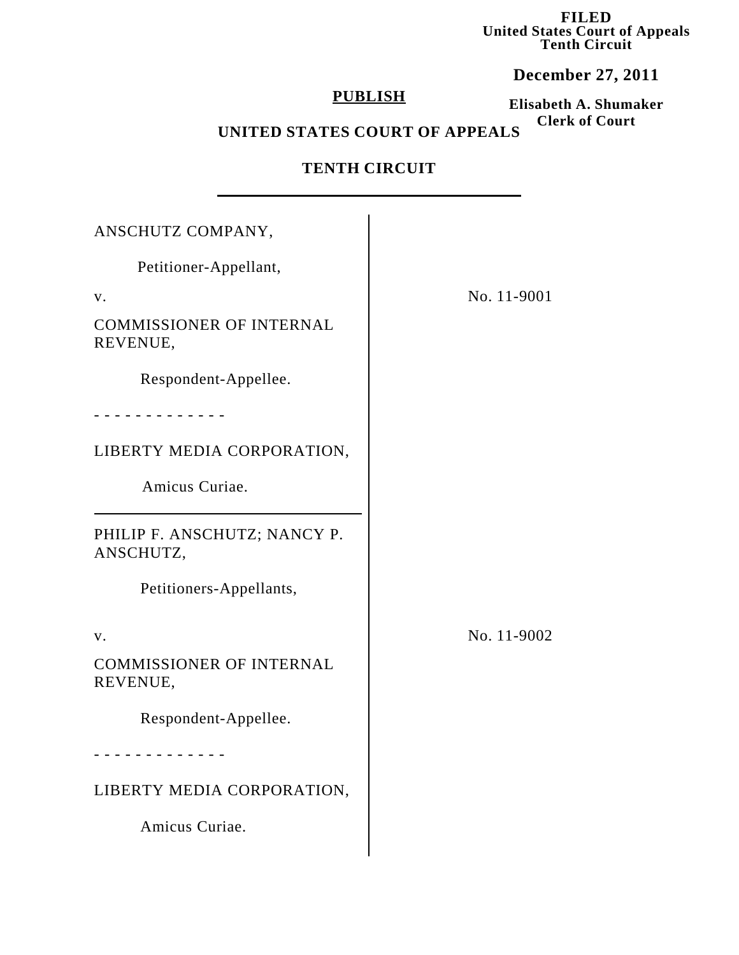**FILED United States Court of Appeals Tenth Circuit**

**December 27, 2011**

## **PUBLISH**

**Elisabeth A. Shumaker Clerk of Court**

# **UNITED STATES COURT OF APPEALS**

## **TENTH CIRCUIT**

| ANSCHUTZ COMPANY,                           |             |
|---------------------------------------------|-------------|
| Petitioner-Appellant,                       |             |
| V.                                          | No. 11-9001 |
| <b>COMMISSIONER OF INTERNAL</b><br>REVENUE, |             |
| Respondent-Appellee.                        |             |
|                                             |             |
| LIBERTY MEDIA CORPORATION,                  |             |
| Amicus Curiae.                              |             |
| PHILIP F. ANSCHUTZ; NANCY P.<br>ANSCHUTZ,   |             |
| Petitioners-Appellants,                     |             |
| V.                                          | No. 11-9002 |
| <b>COMMISSIONER OF INTERNAL</b><br>REVENUE, |             |
| Respondent-Appellee.                        |             |
|                                             |             |
| LIBERTY MEDIA CORPORATION,                  |             |
| Amicus Curiae.                              |             |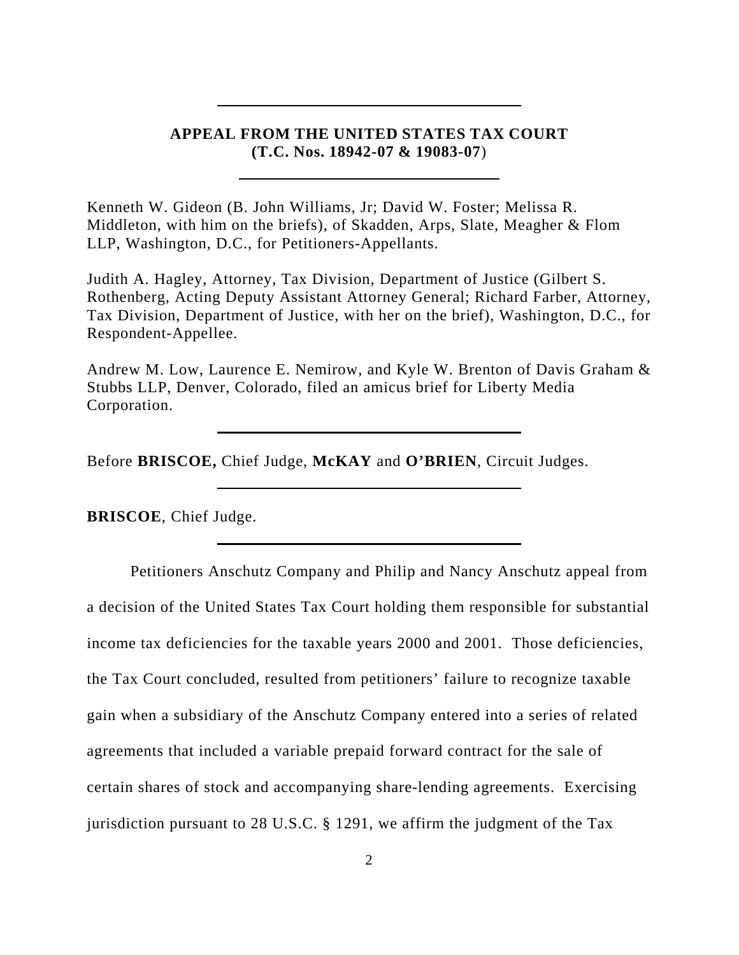## **APPEAL FROM THE UNITED STATES TAX COURT (T.C. Nos. 18942-07 & 19083-07**)

Kenneth W. Gideon (B. John Williams, Jr; David W. Foster; Melissa R. Middleton, with him on the briefs), of Skadden, Arps, Slate, Meagher & Flom LLP, Washington, D.C., for Petitioners-Appellants.

Judith A. Hagley, Attorney, Tax Division, Department of Justice (Gilbert S. Rothenberg, Acting Deputy Assistant Attorney General; Richard Farber, Attorney, Tax Division, Department of Justice, with her on the brief), Washington, D.C., for Respondent-Appellee.

Andrew M. Low, Laurence E. Nemirow, and Kyle W. Brenton of Davis Graham & Stubbs LLP, Denver, Colorado, filed an amicus brief for Liberty Media Corporation.

Before **BRISCOE,** Chief Judge, **McKAY** and **O'BRIEN**, Circuit Judges.

**BRISCOE**, Chief Judge.

Petitioners Anschutz Company and Philip and Nancy Anschutz appeal from a decision of the United States Tax Court holding them responsible for substantial income tax deficiencies for the taxable years 2000 and 2001. Those deficiencies, the Tax Court concluded, resulted from petitioners' failure to recognize taxable gain when a subsidiary of the Anschutz Company entered into a series of related agreements that included a variable prepaid forward contract for the sale of certain shares of stock and accompanying share-lending agreements. Exercising jurisdiction pursuant to 28 U.S.C. § 1291, we affirm the judgment of the Tax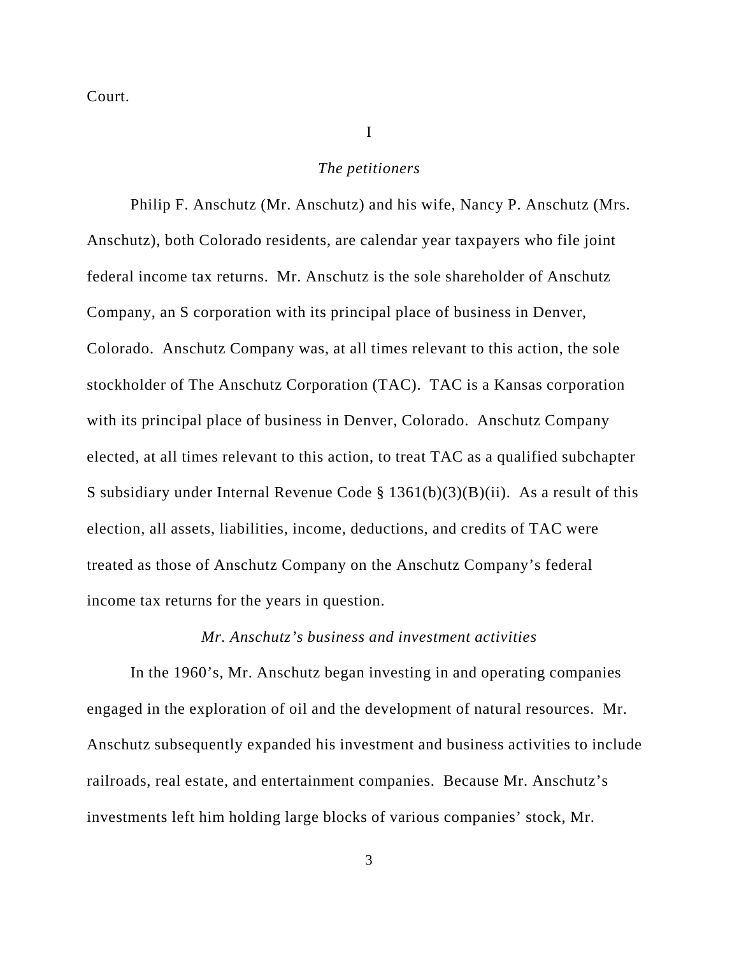Court.

#### *The petitioners*

I

Philip F. Anschutz (Mr. Anschutz) and his wife, Nancy P. Anschutz (Mrs. Anschutz), both Colorado residents, are calendar year taxpayers who file joint federal income tax returns. Mr. Anschutz is the sole shareholder of Anschutz Company, an S corporation with its principal place of business in Denver, Colorado. Anschutz Company was, at all times relevant to this action, the sole stockholder of The Anschutz Corporation (TAC). TAC is a Kansas corporation with its principal place of business in Denver, Colorado. Anschutz Company elected, at all times relevant to this action, to treat TAC as a qualified subchapter S subsidiary under Internal Revenue Code §  $1361(b)(3)(B)(ii)$ . As a result of this election, all assets, liabilities, income, deductions, and credits of TAC were treated as those of Anschutz Company on the Anschutz Company's federal income tax returns for the years in question.

#### *Mr. Anschutz's business and investment activities*

In the 1960's, Mr. Anschutz began investing in and operating companies engaged in the exploration of oil and the development of natural resources. Mr. Anschutz subsequently expanded his investment and business activities to include railroads, real estate, and entertainment companies. Because Mr. Anschutz's investments left him holding large blocks of various companies' stock, Mr.

3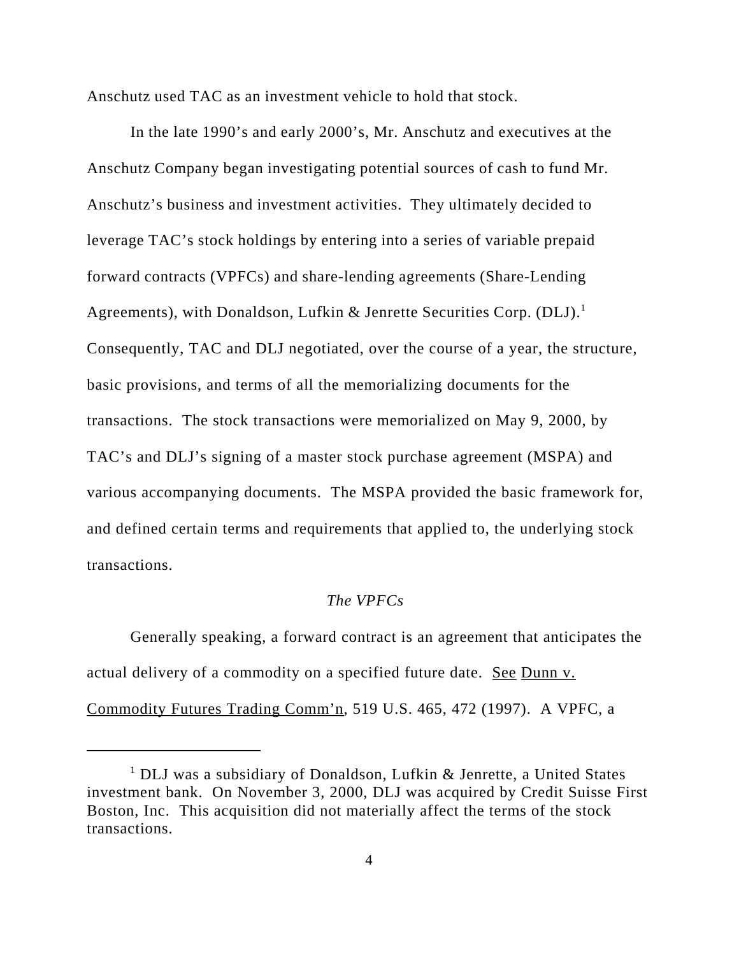Anschutz used TAC as an investment vehicle to hold that stock.

In the late 1990's and early 2000's, Mr. Anschutz and executives at the Anschutz Company began investigating potential sources of cash to fund Mr. Anschutz's business and investment activities. They ultimately decided to leverage TAC's stock holdings by entering into a series of variable prepaid forward contracts (VPFCs) and share-lending agreements (Share-Lending Agreements), with Donaldson, Lufkin & Jenrette Securities Corp.  $(DLI)^{1}$ Consequently, TAC and DLJ negotiated, over the course of a year, the structure, basic provisions, and terms of all the memorializing documents for the transactions. The stock transactions were memorialized on May 9, 2000, by TAC's and DLJ's signing of a master stock purchase agreement (MSPA) and various accompanying documents. The MSPA provided the basic framework for, and defined certain terms and requirements that applied to, the underlying stock transactions.

#### *The VPFCs*

Generally speaking, a forward contract is an agreement that anticipates the actual delivery of a commodity on a specified future date. See Dunn v. Commodity Futures Trading Comm'n, 519 U.S. 465, 472 (1997). A VPFC, a

<sup>&</sup>lt;sup>1</sup> DLJ was a subsidiary of Donaldson, Lufkin & Jenrette, a United States investment bank. On November 3, 2000, DLJ was acquired by Credit Suisse First Boston, Inc. This acquisition did not materially affect the terms of the stock transactions.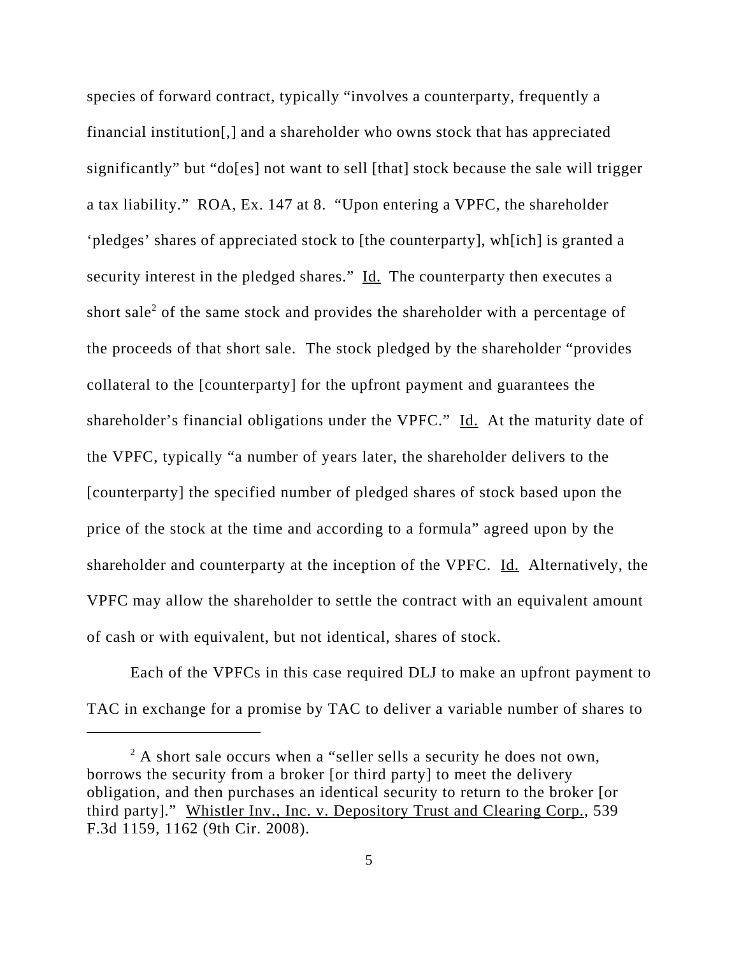species of forward contract, typically "involves a counterparty, frequently a financial institution[,] and a shareholder who owns stock that has appreciated significantly" but "do[es] not want to sell [that] stock because the sale will trigger a tax liability." ROA, Ex. 147 at 8. "Upon entering a VPFC, the shareholder 'pledges' shares of appreciated stock to [the counterparty], wh[ich] is granted a security interest in the pledged shares." Id. The counterparty then executes a short sale<sup>2</sup> of the same stock and provides the shareholder with a percentage of the proceeds of that short sale. The stock pledged by the shareholder "provides collateral to the [counterparty] for the upfront payment and guarantees the shareholder's financial obligations under the VPFC." Id. At the maturity date of the VPFC, typically "a number of years later, the shareholder delivers to the [counterparty] the specified number of pledged shares of stock based upon the price of the stock at the time and according to a formula" agreed upon by the shareholder and counterparty at the inception of the VPFC. Id. Alternatively, the VPFC may allow the shareholder to settle the contract with an equivalent amount of cash or with equivalent, but not identical, shares of stock.

Each of the VPFCs in this case required DLJ to make an upfront payment to TAC in exchange for a promise by TAC to deliver a variable number of shares to

 $2A$  short sale occurs when a "seller sells a security he does not own, borrows the security from a broker [or third party] to meet the delivery obligation, and then purchases an identical security to return to the broker [or third party]." Whistler Inv., Inc. v. Depository Trust and Clearing Corp., 539 F.3d 1159, 1162 (9th Cir. 2008).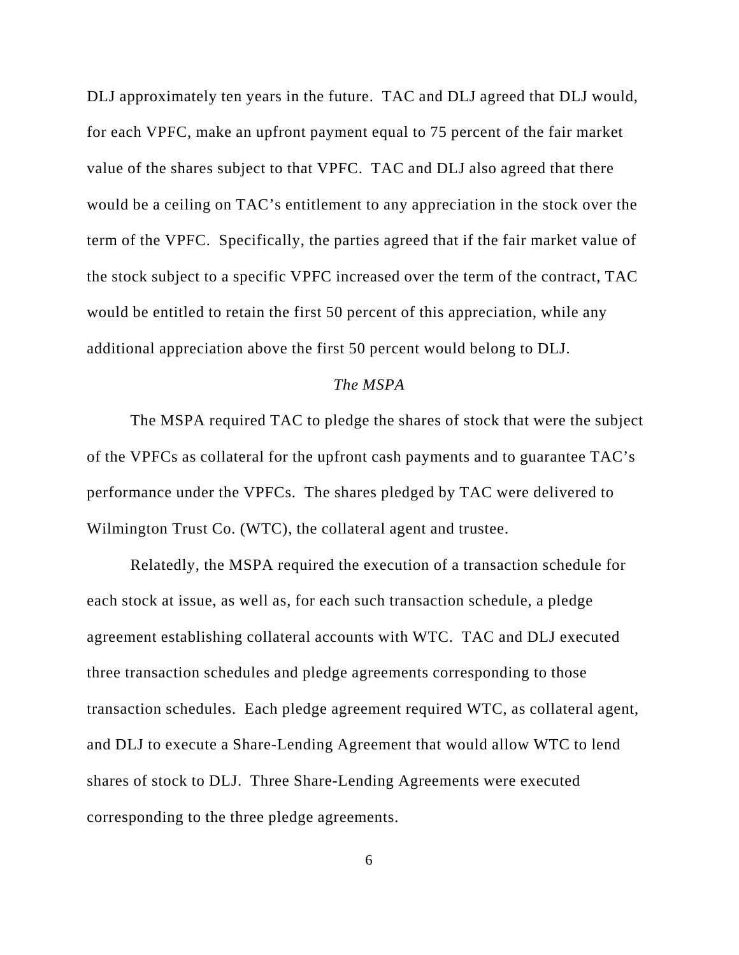DLJ approximately ten years in the future. TAC and DLJ agreed that DLJ would, for each VPFC, make an upfront payment equal to 75 percent of the fair market value of the shares subject to that VPFC. TAC and DLJ also agreed that there would be a ceiling on TAC's entitlement to any appreciation in the stock over the term of the VPFC. Specifically, the parties agreed that if the fair market value of the stock subject to a specific VPFC increased over the term of the contract, TAC would be entitled to retain the first 50 percent of this appreciation, while any additional appreciation above the first 50 percent would belong to DLJ.

#### *The MSPA*

The MSPA required TAC to pledge the shares of stock that were the subject of the VPFCs as collateral for the upfront cash payments and to guarantee TAC's performance under the VPFCs. The shares pledged by TAC were delivered to Wilmington Trust Co. (WTC), the collateral agent and trustee.

Relatedly, the MSPA required the execution of a transaction schedule for each stock at issue, as well as, for each such transaction schedule, a pledge agreement establishing collateral accounts with WTC. TAC and DLJ executed three transaction schedules and pledge agreements corresponding to those transaction schedules. Each pledge agreement required WTC, as collateral agent, and DLJ to execute a Share-Lending Agreement that would allow WTC to lend shares of stock to DLJ. Three Share-Lending Agreements were executed corresponding to the three pledge agreements.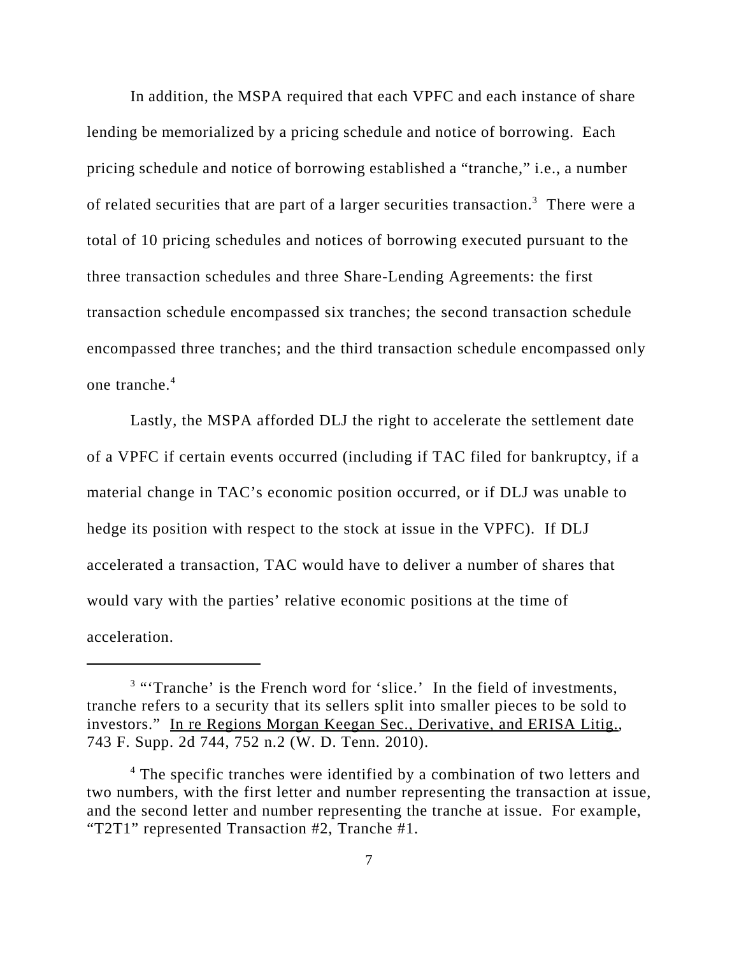In addition, the MSPA required that each VPFC and each instance of share lending be memorialized by a pricing schedule and notice of borrowing. Each pricing schedule and notice of borrowing established a "tranche," i.e., a number of related securities that are part of a larger securities transaction.<sup>3</sup> There were a total of 10 pricing schedules and notices of borrowing executed pursuant to the three transaction schedules and three Share-Lending Agreements: the first transaction schedule encompassed six tranches; the second transaction schedule encompassed three tranches; and the third transaction schedule encompassed only one tranche.4

Lastly, the MSPA afforded DLJ the right to accelerate the settlement date of a VPFC if certain events occurred (including if TAC filed for bankruptcy, if a material change in TAC's economic position occurred, or if DLJ was unable to hedge its position with respect to the stock at issue in the VPFC). If DLJ accelerated a transaction, TAC would have to deliver a number of shares that would vary with the parties' relative economic positions at the time of acceleration.

<sup>&</sup>lt;sup>3</sup> "Tranche' is the French word for 'slice.' In the field of investments, tranche refers to a security that its sellers split into smaller pieces to be sold to investors." In re Regions Morgan Keegan Sec., Derivative, and ERISA Litig., 743 F. Supp. 2d 744, 752 n.2 (W. D. Tenn. 2010).

<sup>&</sup>lt;sup>4</sup> The specific tranches were identified by a combination of two letters and two numbers, with the first letter and number representing the transaction at issue, and the second letter and number representing the tranche at issue. For example, "T2T1" represented Transaction #2, Tranche #1.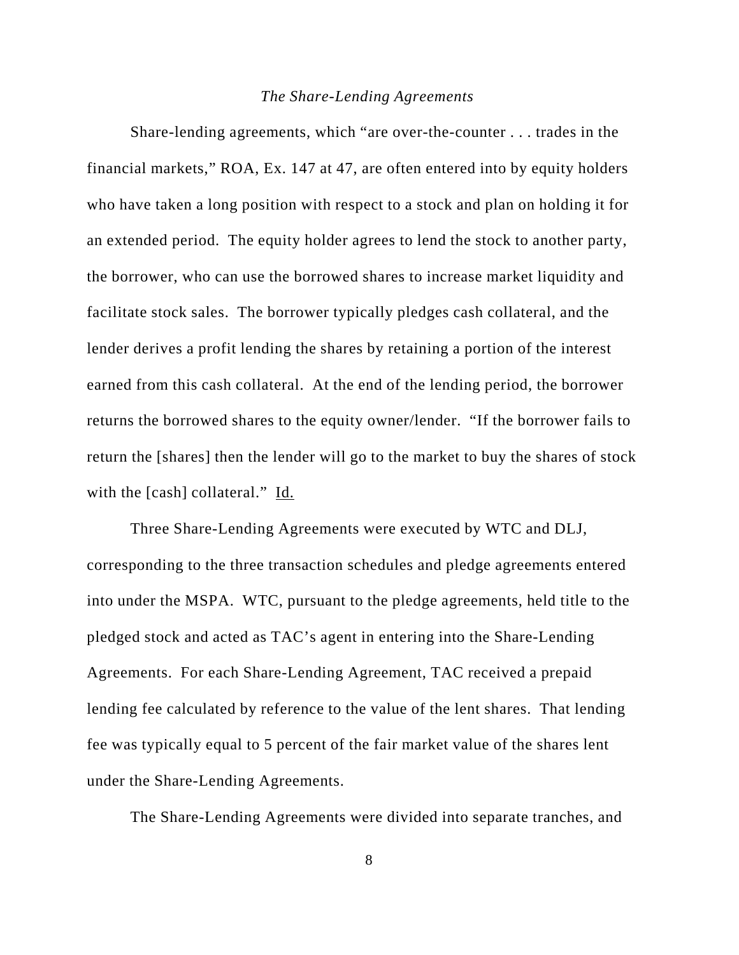#### *The Share-Lending Agreements*

Share-lending agreements, which "are over-the-counter . . . trades in the financial markets," ROA, Ex. 147 at 47, are often entered into by equity holders who have taken a long position with respect to a stock and plan on holding it for an extended period. The equity holder agrees to lend the stock to another party, the borrower, who can use the borrowed shares to increase market liquidity and facilitate stock sales. The borrower typically pledges cash collateral, and the lender derives a profit lending the shares by retaining a portion of the interest earned from this cash collateral. At the end of the lending period, the borrower returns the borrowed shares to the equity owner/lender. "If the borrower fails to return the [shares] then the lender will go to the market to buy the shares of stock with the [cash] collateral." Id.

Three Share-Lending Agreements were executed by WTC and DLJ, corresponding to the three transaction schedules and pledge agreements entered into under the MSPA. WTC, pursuant to the pledge agreements, held title to the pledged stock and acted as TAC's agent in entering into the Share-Lending Agreements. For each Share-Lending Agreement, TAC received a prepaid lending fee calculated by reference to the value of the lent shares. That lending fee was typically equal to 5 percent of the fair market value of the shares lent under the Share-Lending Agreements.

The Share-Lending Agreements were divided into separate tranches, and

8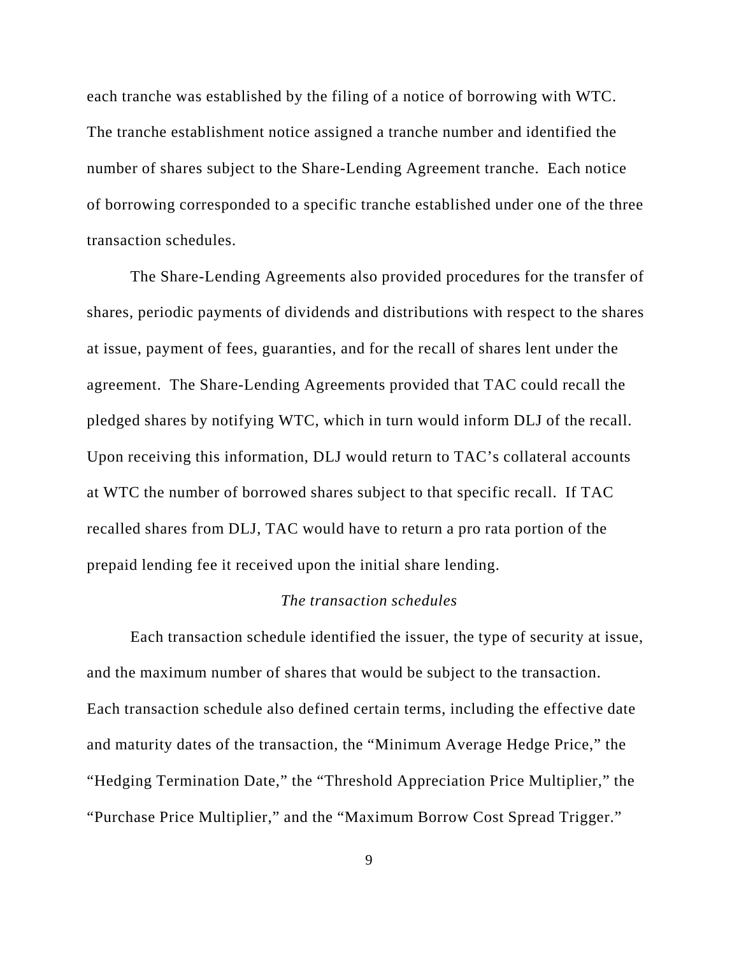each tranche was established by the filing of a notice of borrowing with WTC. The tranche establishment notice assigned a tranche number and identified the number of shares subject to the Share-Lending Agreement tranche. Each notice of borrowing corresponded to a specific tranche established under one of the three transaction schedules.

The Share-Lending Agreements also provided procedures for the transfer of shares, periodic payments of dividends and distributions with respect to the shares at issue, payment of fees, guaranties, and for the recall of shares lent under the agreement. The Share-Lending Agreements provided that TAC could recall the pledged shares by notifying WTC, which in turn would inform DLJ of the recall. Upon receiving this information, DLJ would return to TAC's collateral accounts at WTC the number of borrowed shares subject to that specific recall. If TAC recalled shares from DLJ, TAC would have to return a pro rata portion of the prepaid lending fee it received upon the initial share lending.

#### *The transaction schedules*

Each transaction schedule identified the issuer, the type of security at issue, and the maximum number of shares that would be subject to the transaction. Each transaction schedule also defined certain terms, including the effective date and maturity dates of the transaction, the "Minimum Average Hedge Price," the "Hedging Termination Date," the "Threshold Appreciation Price Multiplier," the "Purchase Price Multiplier," and the "Maximum Borrow Cost Spread Trigger."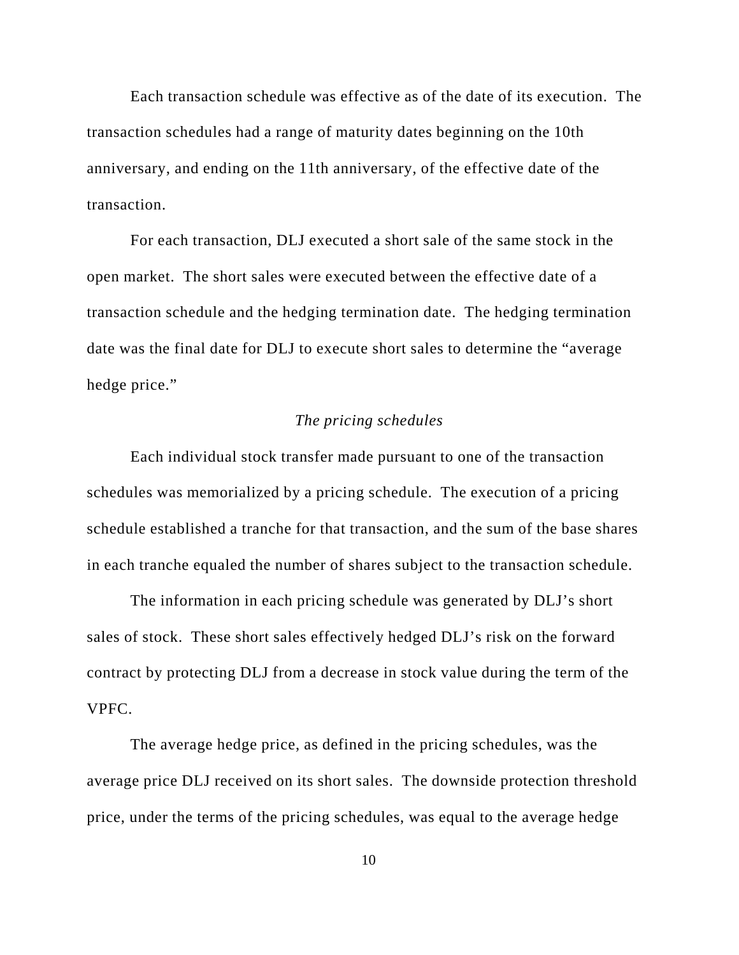Each transaction schedule was effective as of the date of its execution. The transaction schedules had a range of maturity dates beginning on the 10th anniversary, and ending on the 11th anniversary, of the effective date of the transaction.

For each transaction, DLJ executed a short sale of the same stock in the open market. The short sales were executed between the effective date of a transaction schedule and the hedging termination date. The hedging termination date was the final date for DLJ to execute short sales to determine the "average hedge price."

#### *The pricing schedules*

Each individual stock transfer made pursuant to one of the transaction schedules was memorialized by a pricing schedule. The execution of a pricing schedule established a tranche for that transaction, and the sum of the base shares in each tranche equaled the number of shares subject to the transaction schedule.

The information in each pricing schedule was generated by DLJ's short sales of stock. These short sales effectively hedged DLJ's risk on the forward contract by protecting DLJ from a decrease in stock value during the term of the VPFC.

The average hedge price, as defined in the pricing schedules, was the average price DLJ received on its short sales. The downside protection threshold price, under the terms of the pricing schedules, was equal to the average hedge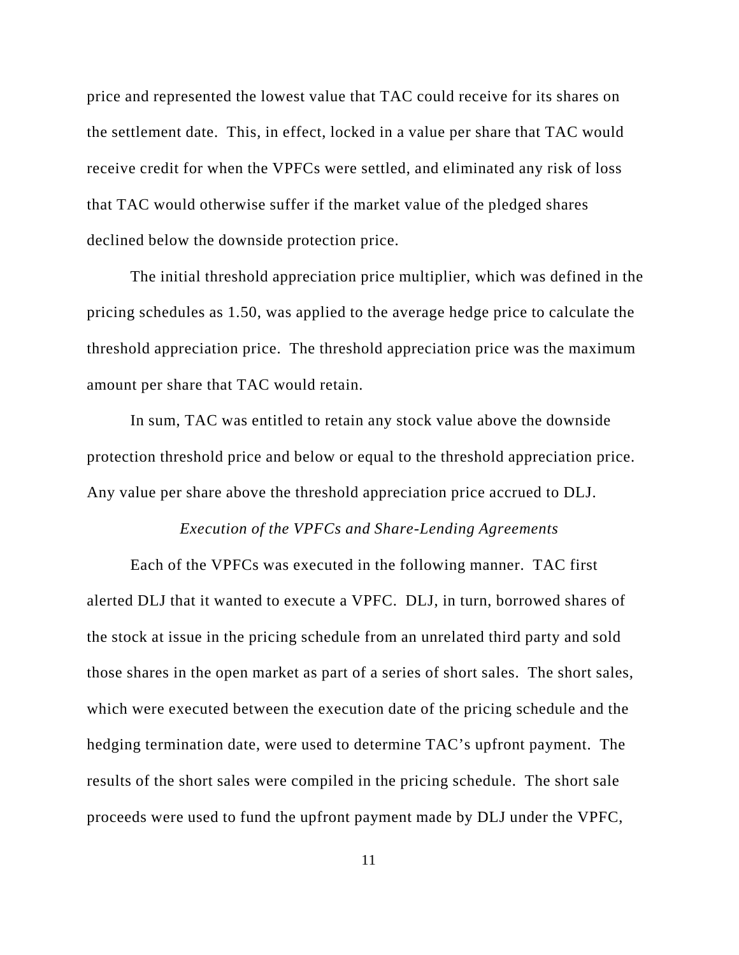price and represented the lowest value that TAC could receive for its shares on the settlement date. This, in effect, locked in a value per share that TAC would receive credit for when the VPFCs were settled, and eliminated any risk of loss that TAC would otherwise suffer if the market value of the pledged shares declined below the downside protection price.

The initial threshold appreciation price multiplier, which was defined in the pricing schedules as 1.50, was applied to the average hedge price to calculate the threshold appreciation price. The threshold appreciation price was the maximum amount per share that TAC would retain.

In sum, TAC was entitled to retain any stock value above the downside protection threshold price and below or equal to the threshold appreciation price. Any value per share above the threshold appreciation price accrued to DLJ.

#### *Execution of the VPFCs and Share-Lending Agreements*

Each of the VPFCs was executed in the following manner. TAC first alerted DLJ that it wanted to execute a VPFC. DLJ, in turn, borrowed shares of the stock at issue in the pricing schedule from an unrelated third party and sold those shares in the open market as part of a series of short sales. The short sales, which were executed between the execution date of the pricing schedule and the hedging termination date, were used to determine TAC's upfront payment. The results of the short sales were compiled in the pricing schedule. The short sale proceeds were used to fund the upfront payment made by DLJ under the VPFC,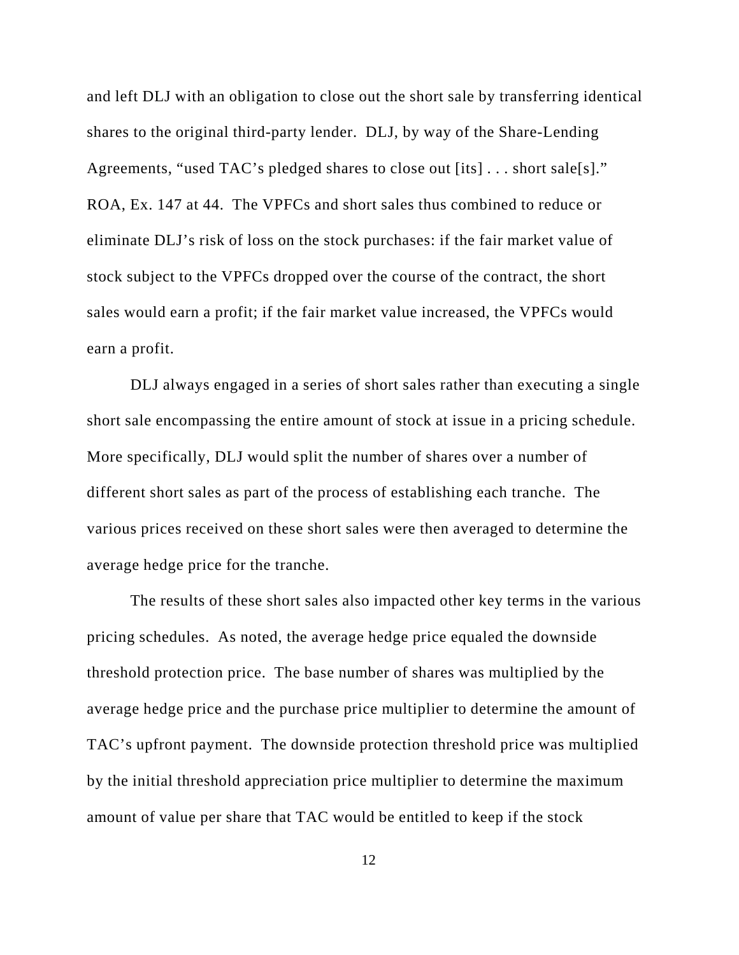and left DLJ with an obligation to close out the short sale by transferring identical shares to the original third-party lender. DLJ, by way of the Share-Lending Agreements, "used TAC's pledged shares to close out [its] . . . short sale[s]." ROA, Ex. 147 at 44. The VPFCs and short sales thus combined to reduce or eliminate DLJ's risk of loss on the stock purchases: if the fair market value of stock subject to the VPFCs dropped over the course of the contract, the short sales would earn a profit; if the fair market value increased, the VPFCs would earn a profit.

DLJ always engaged in a series of short sales rather than executing a single short sale encompassing the entire amount of stock at issue in a pricing schedule. More specifically, DLJ would split the number of shares over a number of different short sales as part of the process of establishing each tranche. The various prices received on these short sales were then averaged to determine the average hedge price for the tranche.

The results of these short sales also impacted other key terms in the various pricing schedules. As noted, the average hedge price equaled the downside threshold protection price. The base number of shares was multiplied by the average hedge price and the purchase price multiplier to determine the amount of TAC's upfront payment. The downside protection threshold price was multiplied by the initial threshold appreciation price multiplier to determine the maximum amount of value per share that TAC would be entitled to keep if the stock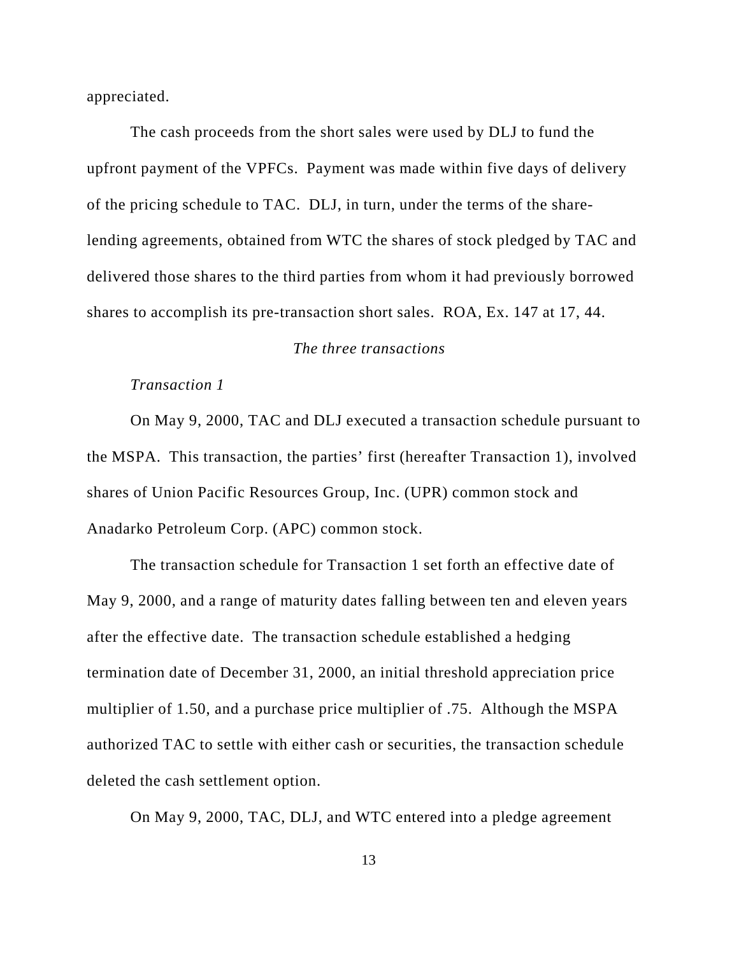appreciated.

The cash proceeds from the short sales were used by DLJ to fund the upfront payment of the VPFCs. Payment was made within five days of delivery of the pricing schedule to TAC. DLJ, in turn, under the terms of the sharelending agreements, obtained from WTC the shares of stock pledged by TAC and delivered those shares to the third parties from whom it had previously borrowed shares to accomplish its pre-transaction short sales. ROA, Ex. 147 at 17, 44.

#### *The three transactions*

#### *Transaction 1*

On May 9, 2000, TAC and DLJ executed a transaction schedule pursuant to the MSPA. This transaction, the parties' first (hereafter Transaction 1), involved shares of Union Pacific Resources Group, Inc. (UPR) common stock and Anadarko Petroleum Corp. (APC) common stock.

The transaction schedule for Transaction 1 set forth an effective date of May 9, 2000, and a range of maturity dates falling between ten and eleven years after the effective date. The transaction schedule established a hedging termination date of December 31, 2000, an initial threshold appreciation price multiplier of 1.50, and a purchase price multiplier of .75. Although the MSPA authorized TAC to settle with either cash or securities, the transaction schedule deleted the cash settlement option.

On May 9, 2000, TAC, DLJ, and WTC entered into a pledge agreement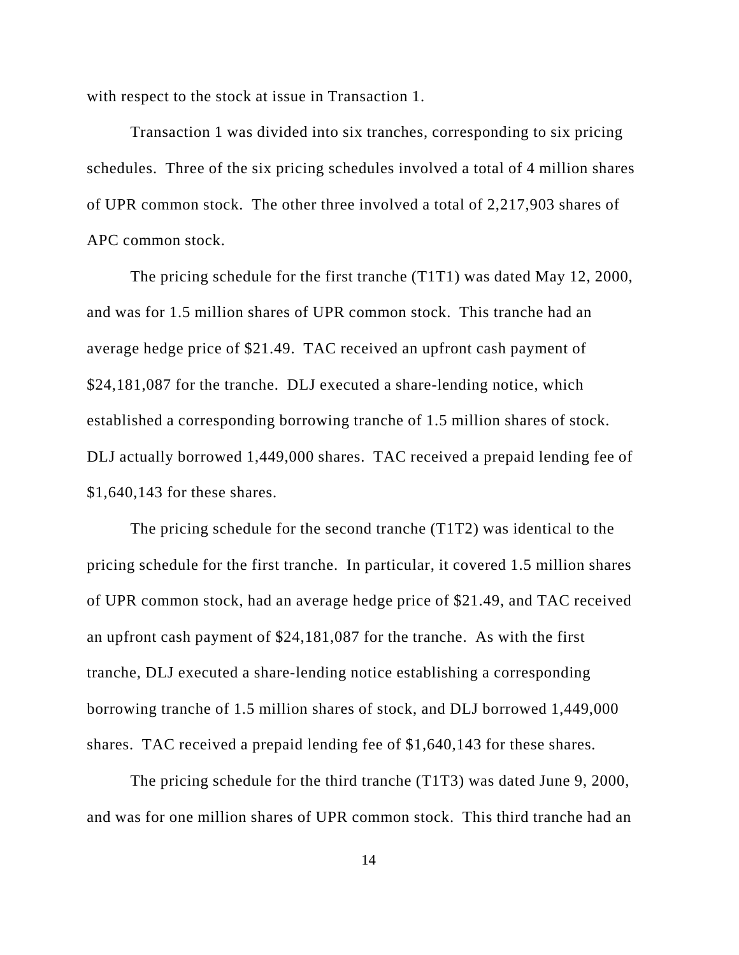with respect to the stock at issue in Transaction 1.

Transaction 1 was divided into six tranches, corresponding to six pricing schedules. Three of the six pricing schedules involved a total of 4 million shares of UPR common stock. The other three involved a total of 2,217,903 shares of APC common stock.

The pricing schedule for the first tranche (T1T1) was dated May 12, 2000, and was for 1.5 million shares of UPR common stock. This tranche had an average hedge price of \$21.49. TAC received an upfront cash payment of \$24,181,087 for the tranche. DLJ executed a share-lending notice, which established a corresponding borrowing tranche of 1.5 million shares of stock. DLJ actually borrowed 1,449,000 shares. TAC received a prepaid lending fee of \$1,640,143 for these shares.

The pricing schedule for the second tranche (T1T2) was identical to the pricing schedule for the first tranche. In particular, it covered 1.5 million shares of UPR common stock, had an average hedge price of \$21.49, and TAC received an upfront cash payment of \$24,181,087 for the tranche. As with the first tranche, DLJ executed a share-lending notice establishing a corresponding borrowing tranche of 1.5 million shares of stock, and DLJ borrowed 1,449,000 shares. TAC received a prepaid lending fee of \$1,640,143 for these shares.

The pricing schedule for the third tranche (T1T3) was dated June 9, 2000, and was for one million shares of UPR common stock. This third tranche had an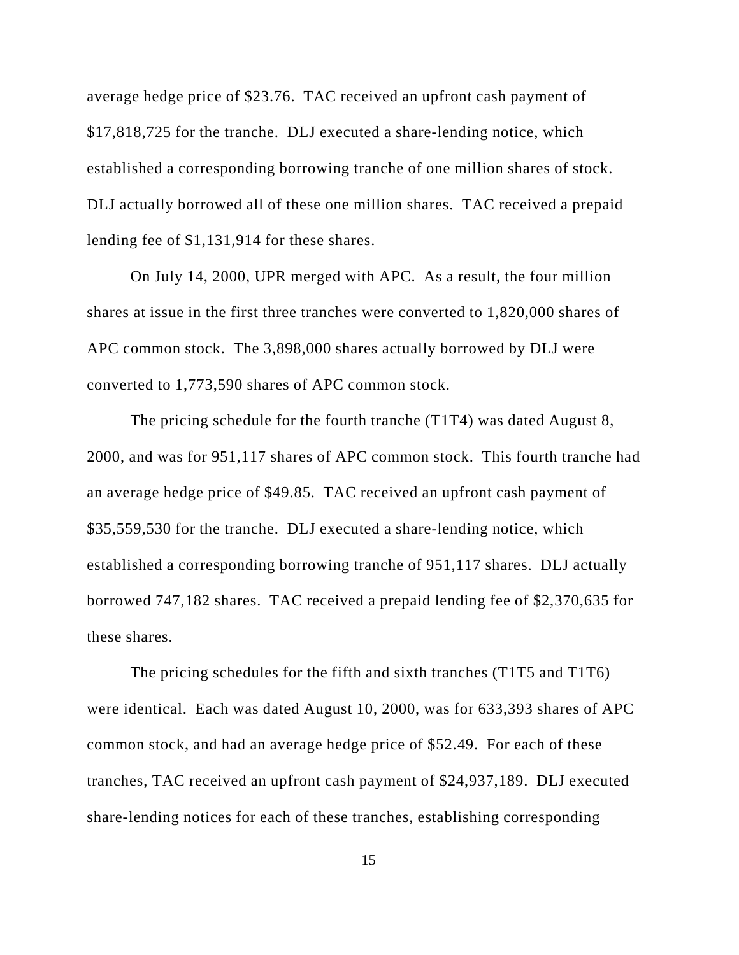average hedge price of \$23.76. TAC received an upfront cash payment of \$17,818,725 for the tranche. DLJ executed a share-lending notice, which established a corresponding borrowing tranche of one million shares of stock. DLJ actually borrowed all of these one million shares. TAC received a prepaid lending fee of \$1,131,914 for these shares.

On July 14, 2000, UPR merged with APC. As a result, the four million shares at issue in the first three tranches were converted to 1,820,000 shares of APC common stock. The 3,898,000 shares actually borrowed by DLJ were converted to 1,773,590 shares of APC common stock.

The pricing schedule for the fourth tranche (T1T4) was dated August 8, 2000, and was for 951,117 shares of APC common stock. This fourth tranche had an average hedge price of \$49.85. TAC received an upfront cash payment of \$35,559,530 for the tranche. DLJ executed a share-lending notice, which established a corresponding borrowing tranche of 951,117 shares. DLJ actually borrowed 747,182 shares. TAC received a prepaid lending fee of \$2,370,635 for these shares.

The pricing schedules for the fifth and sixth tranches (T1T5 and T1T6) were identical. Each was dated August 10, 2000, was for 633,393 shares of APC common stock, and had an average hedge price of \$52.49. For each of these tranches, TAC received an upfront cash payment of \$24,937,189. DLJ executed share-lending notices for each of these tranches, establishing corresponding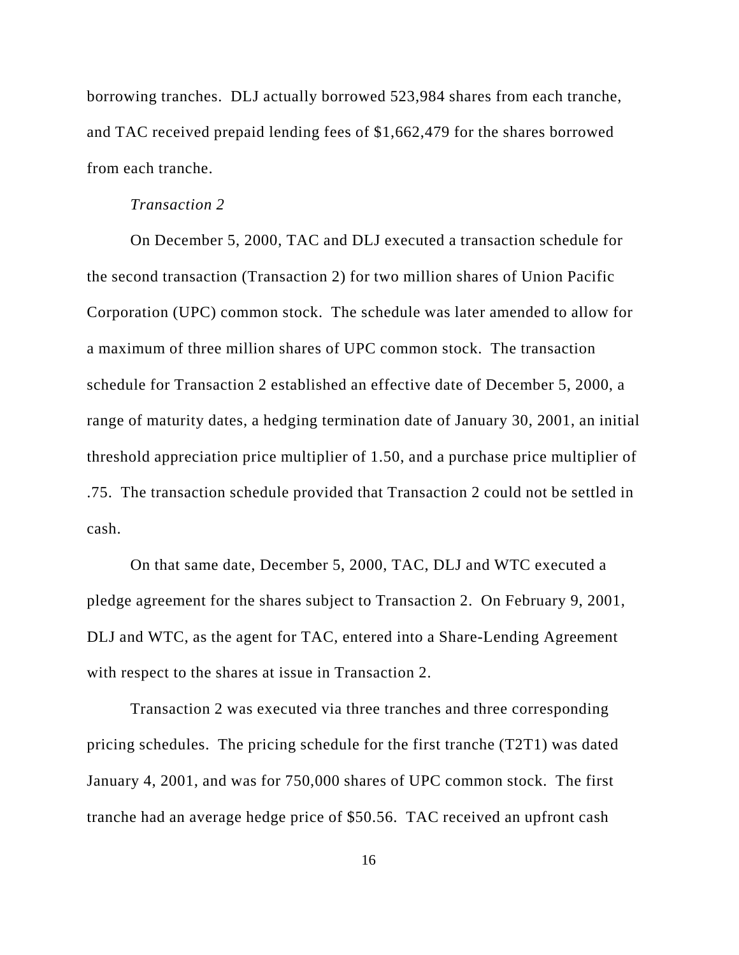borrowing tranches. DLJ actually borrowed 523,984 shares from each tranche, and TAC received prepaid lending fees of \$1,662,479 for the shares borrowed from each tranche.

#### *Transaction 2*

On December 5, 2000, TAC and DLJ executed a transaction schedule for the second transaction (Transaction 2) for two million shares of Union Pacific Corporation (UPC) common stock. The schedule was later amended to allow for a maximum of three million shares of UPC common stock. The transaction schedule for Transaction 2 established an effective date of December 5, 2000, a range of maturity dates, a hedging termination date of January 30, 2001, an initial threshold appreciation price multiplier of 1.50, and a purchase price multiplier of .75. The transaction schedule provided that Transaction 2 could not be settled in cash.

On that same date, December 5, 2000, TAC, DLJ and WTC executed a pledge agreement for the shares subject to Transaction 2. On February 9, 2001, DLJ and WTC, as the agent for TAC, entered into a Share-Lending Agreement with respect to the shares at issue in Transaction 2.

Transaction 2 was executed via three tranches and three corresponding pricing schedules. The pricing schedule for the first tranche (T2T1) was dated January 4, 2001, and was for 750,000 shares of UPC common stock. The first tranche had an average hedge price of \$50.56. TAC received an upfront cash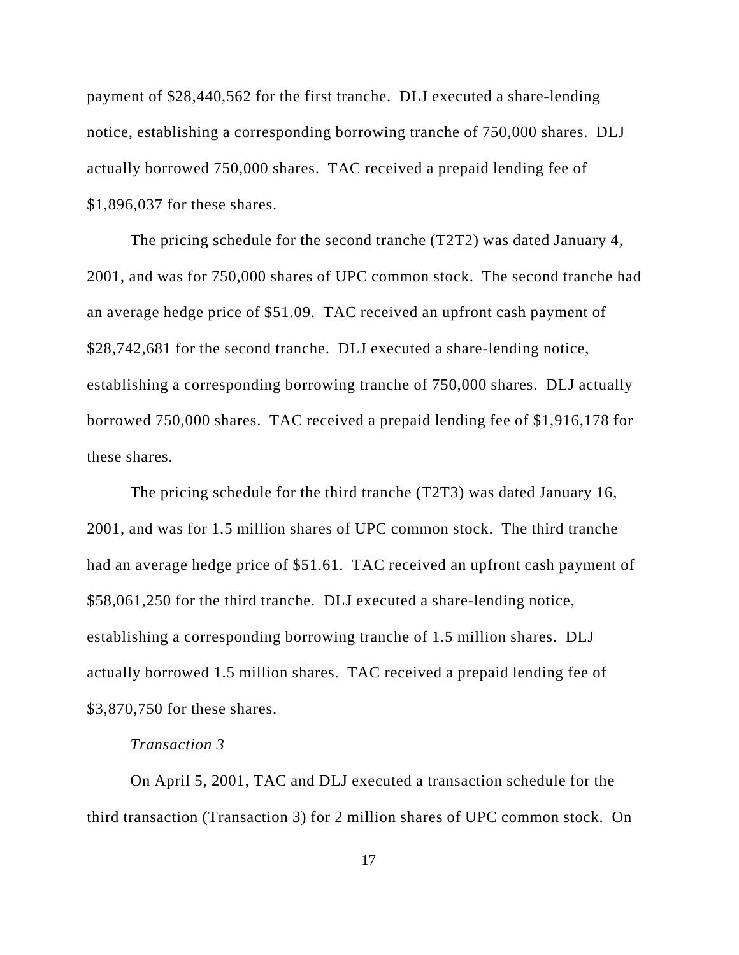payment of \$28,440,562 for the first tranche. DLJ executed a share-lending notice, establishing a corresponding borrowing tranche of 750,000 shares. DLJ actually borrowed 750,000 shares. TAC received a prepaid lending fee of \$1,896,037 for these shares.

The pricing schedule for the second tranche (T2T2) was dated January 4, 2001, and was for 750,000 shares of UPC common stock. The second tranche had an average hedge price of \$51.09. TAC received an upfront cash payment of \$28,742,681 for the second tranche. DLJ executed a share-lending notice, establishing a corresponding borrowing tranche of 750,000 shares. DLJ actually borrowed 750,000 shares. TAC received a prepaid lending fee of \$1,916,178 for these shares.

The pricing schedule for the third tranche (T2T3) was dated January 16, 2001, and was for 1.5 million shares of UPC common stock. The third tranche had an average hedge price of \$51.61. TAC received an upfront cash payment of \$58,061,250 for the third tranche. DLJ executed a share-lending notice, establishing a corresponding borrowing tranche of 1.5 million shares. DLJ actually borrowed 1.5 million shares. TAC received a prepaid lending fee of \$3,870,750 for these shares.

## *Transaction 3*

On April 5, 2001, TAC and DLJ executed a transaction schedule for the third transaction (Transaction 3) for 2 million shares of UPC common stock. On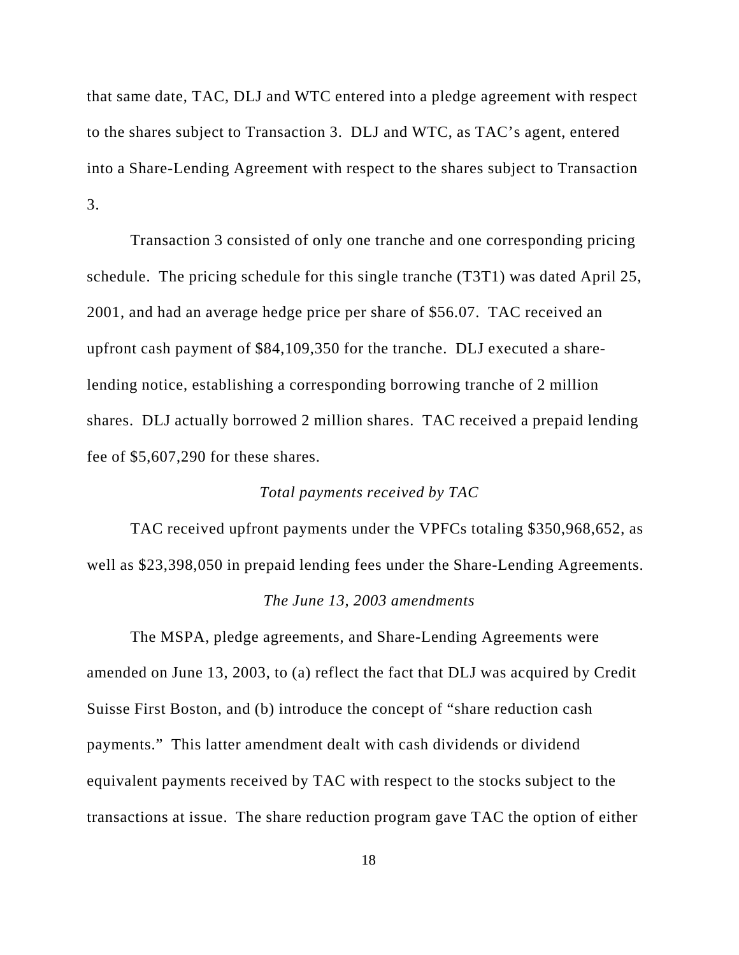that same date, TAC, DLJ and WTC entered into a pledge agreement with respect to the shares subject to Transaction 3. DLJ and WTC, as TAC's agent, entered into a Share-Lending Agreement with respect to the shares subject to Transaction 3.

Transaction 3 consisted of only one tranche and one corresponding pricing schedule. The pricing schedule for this single tranche (T3T1) was dated April 25, 2001, and had an average hedge price per share of \$56.07. TAC received an upfront cash payment of \$84,109,350 for the tranche. DLJ executed a sharelending notice, establishing a corresponding borrowing tranche of 2 million shares. DLJ actually borrowed 2 million shares. TAC received a prepaid lending fee of \$5,607,290 for these shares.

### *Total payments received by TAC*

TAC received upfront payments under the VPFCs totaling \$350,968,652, as well as \$23,398,050 in prepaid lending fees under the Share-Lending Agreements.

### *The June 13, 2003 amendments*

The MSPA, pledge agreements, and Share-Lending Agreements were amended on June 13, 2003, to (a) reflect the fact that DLJ was acquired by Credit Suisse First Boston, and (b) introduce the concept of "share reduction cash payments." This latter amendment dealt with cash dividends or dividend equivalent payments received by TAC with respect to the stocks subject to the transactions at issue. The share reduction program gave TAC the option of either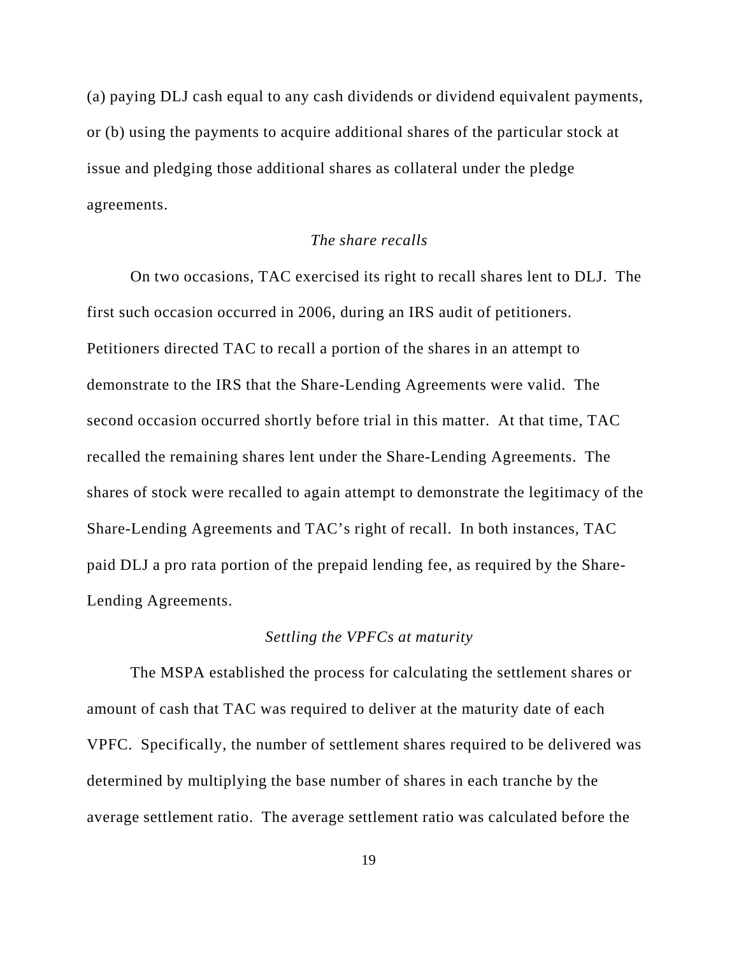(a) paying DLJ cash equal to any cash dividends or dividend equivalent payments, or (b) using the payments to acquire additional shares of the particular stock at issue and pledging those additional shares as collateral under the pledge agreements.

## *The share recalls*

On two occasions, TAC exercised its right to recall shares lent to DLJ. The first such occasion occurred in 2006, during an IRS audit of petitioners. Petitioners directed TAC to recall a portion of the shares in an attempt to demonstrate to the IRS that the Share-Lending Agreements were valid. The second occasion occurred shortly before trial in this matter. At that time, TAC recalled the remaining shares lent under the Share-Lending Agreements. The shares of stock were recalled to again attempt to demonstrate the legitimacy of the Share-Lending Agreements and TAC's right of recall. In both instances, TAC paid DLJ a pro rata portion of the prepaid lending fee, as required by the Share-Lending Agreements.

#### *Settling the VPFCs at maturity*

The MSPA established the process for calculating the settlement shares or amount of cash that TAC was required to deliver at the maturity date of each VPFC. Specifically, the number of settlement shares required to be delivered was determined by multiplying the base number of shares in each tranche by the average settlement ratio. The average settlement ratio was calculated before the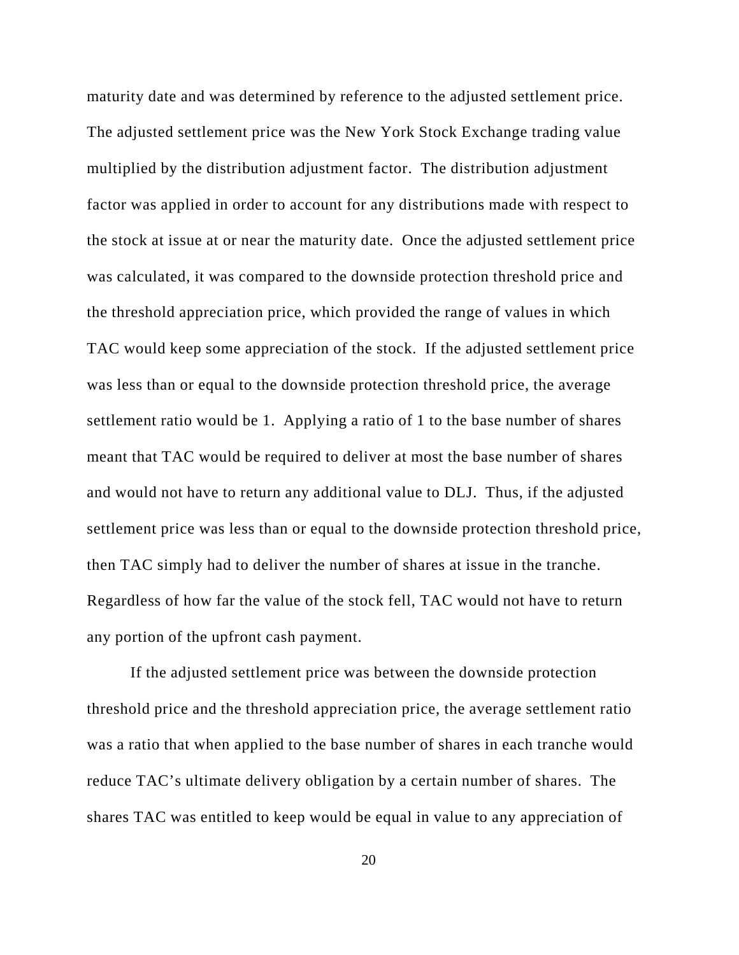maturity date and was determined by reference to the adjusted settlement price. The adjusted settlement price was the New York Stock Exchange trading value multiplied by the distribution adjustment factor. The distribution adjustment factor was applied in order to account for any distributions made with respect to the stock at issue at or near the maturity date. Once the adjusted settlement price was calculated, it was compared to the downside protection threshold price and the threshold appreciation price, which provided the range of values in which TAC would keep some appreciation of the stock. If the adjusted settlement price was less than or equal to the downside protection threshold price, the average settlement ratio would be 1. Applying a ratio of 1 to the base number of shares meant that TAC would be required to deliver at most the base number of shares and would not have to return any additional value to DLJ. Thus, if the adjusted settlement price was less than or equal to the downside protection threshold price, then TAC simply had to deliver the number of shares at issue in the tranche. Regardless of how far the value of the stock fell, TAC would not have to return any portion of the upfront cash payment.

If the adjusted settlement price was between the downside protection threshold price and the threshold appreciation price, the average settlement ratio was a ratio that when applied to the base number of shares in each tranche would reduce TAC's ultimate delivery obligation by a certain number of shares. The shares TAC was entitled to keep would be equal in value to any appreciation of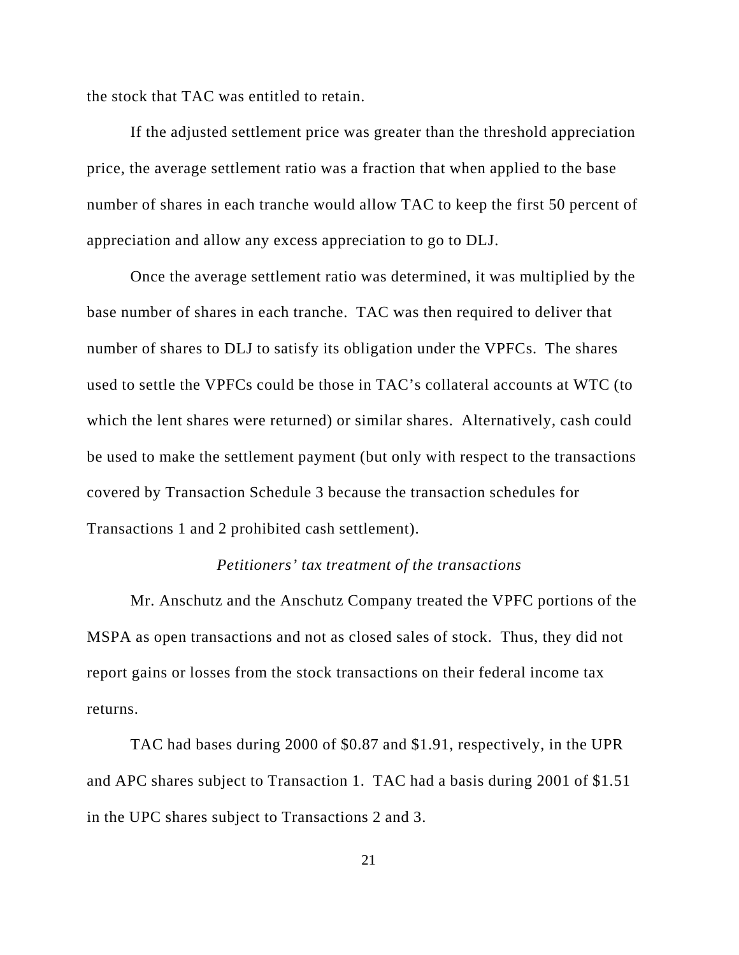the stock that TAC was entitled to retain.

If the adjusted settlement price was greater than the threshold appreciation price, the average settlement ratio was a fraction that when applied to the base number of shares in each tranche would allow TAC to keep the first 50 percent of appreciation and allow any excess appreciation to go to DLJ.

Once the average settlement ratio was determined, it was multiplied by the base number of shares in each tranche. TAC was then required to deliver that number of shares to DLJ to satisfy its obligation under the VPFCs. The shares used to settle the VPFCs could be those in TAC's collateral accounts at WTC (to which the lent shares were returned) or similar shares. Alternatively, cash could be used to make the settlement payment (but only with respect to the transactions covered by Transaction Schedule 3 because the transaction schedules for Transactions 1 and 2 prohibited cash settlement).

#### *Petitioners' tax treatment of the transactions*

Mr. Anschutz and the Anschutz Company treated the VPFC portions of the MSPA as open transactions and not as closed sales of stock. Thus, they did not report gains or losses from the stock transactions on their federal income tax returns.

TAC had bases during 2000 of \$0.87 and \$1.91, respectively, in the UPR and APC shares subject to Transaction 1. TAC had a basis during 2001 of \$1.51 in the UPC shares subject to Transactions 2 and 3.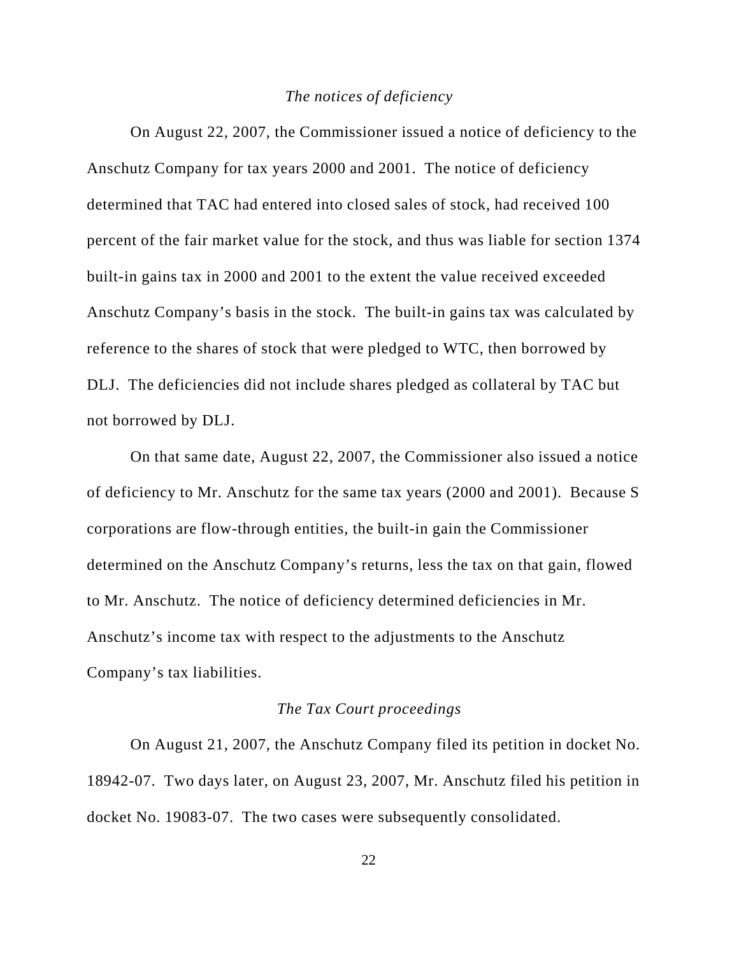#### *The notices of deficiency*

On August 22, 2007, the Commissioner issued a notice of deficiency to the Anschutz Company for tax years 2000 and 2001. The notice of deficiency determined that TAC had entered into closed sales of stock, had received 100 percent of the fair market value for the stock, and thus was liable for section 1374 built-in gains tax in 2000 and 2001 to the extent the value received exceeded Anschutz Company's basis in the stock. The built-in gains tax was calculated by reference to the shares of stock that were pledged to WTC, then borrowed by DLJ. The deficiencies did not include shares pledged as collateral by TAC but not borrowed by DLJ.

On that same date, August 22, 2007, the Commissioner also issued a notice of deficiency to Mr. Anschutz for the same tax years (2000 and 2001). Because S corporations are flow-through entities, the built-in gain the Commissioner determined on the Anschutz Company's returns, less the tax on that gain, flowed to Mr. Anschutz. The notice of deficiency determined deficiencies in Mr. Anschutz's income tax with respect to the adjustments to the Anschutz Company's tax liabilities.

#### *The Tax Court proceedings*

On August 21, 2007, the Anschutz Company filed its petition in docket No. 18942-07. Two days later, on August 23, 2007, Mr. Anschutz filed his petition in docket No. 19083-07. The two cases were subsequently consolidated.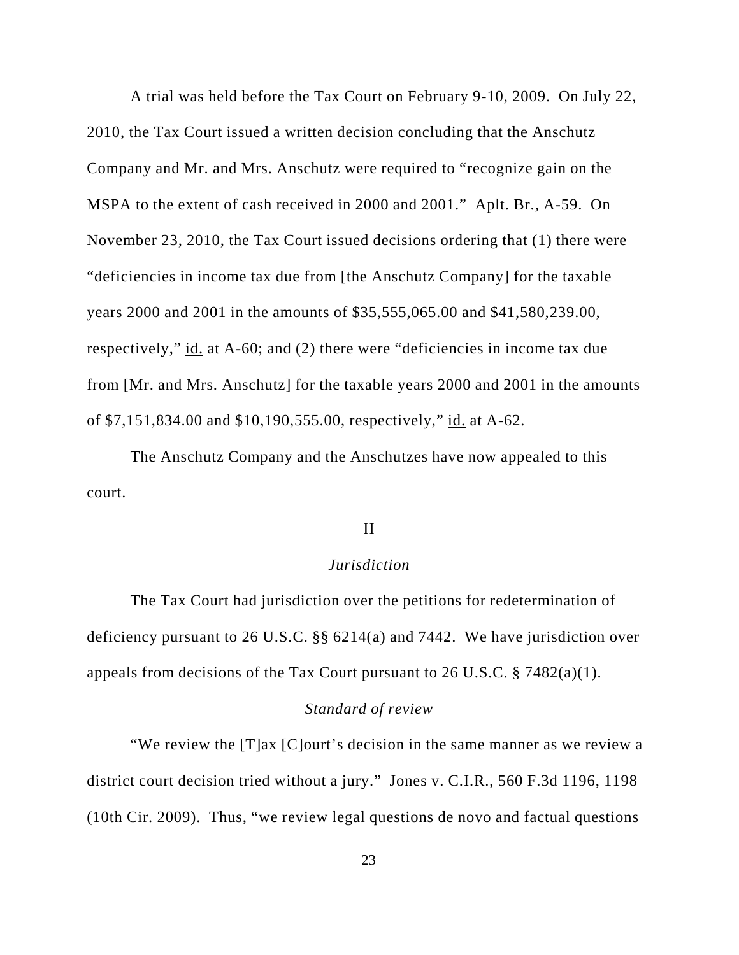A trial was held before the Tax Court on February 9-10, 2009. On July 22, 2010, the Tax Court issued a written decision concluding that the Anschutz Company and Mr. and Mrs. Anschutz were required to "recognize gain on the MSPA to the extent of cash received in 2000 and 2001." Aplt. Br., A-59. On November 23, 2010, the Tax Court issued decisions ordering that (1) there were "deficiencies in income tax due from [the Anschutz Company] for the taxable years 2000 and 2001 in the amounts of \$35,555,065.00 and \$41,580,239.00, respectively," id. at A-60; and (2) there were "deficiencies in income tax due from [Mr. and Mrs. Anschutz] for the taxable years 2000 and 2001 in the amounts of \$7,151,834.00 and \$10,190,555.00, respectively," id. at A-62.

The Anschutz Company and the Anschutzes have now appealed to this court.

#### II

#### *Jurisdiction*

The Tax Court had jurisdiction over the petitions for redetermination of deficiency pursuant to 26 U.S.C. §§ 6214(a) and 7442. We have jurisdiction over appeals from decisions of the Tax Court pursuant to 26 U.S.C.  $\S$  7482(a)(1).

#### *Standard of review*

"We review the [T]ax [C]ourt's decision in the same manner as we review a district court decision tried without a jury." Jones v. C.I.R., 560 F.3d 1196, 1198 (10th Cir. 2009). Thus, "we review legal questions de novo and factual questions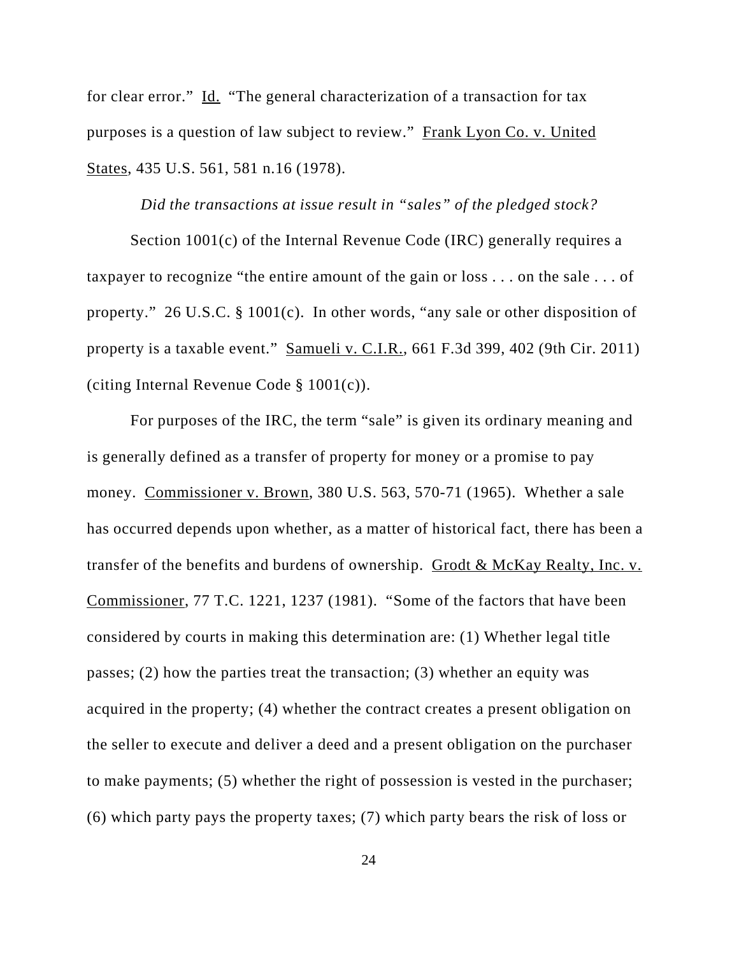for clear error." Id. "The general characterization of a transaction for tax purposes is a question of law subject to review." Frank Lyon Co. v. United States, 435 U.S. 561, 581 n.16 (1978).

#### *Did the transactions at issue result in "sales" of the pledged stock?*

Section 1001(c) of the Internal Revenue Code (IRC) generally requires a taxpayer to recognize "the entire amount of the gain or loss . . . on the sale . . . of property." 26 U.S.C. § 1001(c). In other words, "any sale or other disposition of property is a taxable event." Samueli v. C.I.R., 661 F.3d 399, 402 (9th Cir. 2011) (citing Internal Revenue Code § 1001(c)).

For purposes of the IRC, the term "sale" is given its ordinary meaning and is generally defined as a transfer of property for money or a promise to pay money. Commissioner v. Brown, 380 U.S. 563, 570-71 (1965). Whether a sale has occurred depends upon whether, as a matter of historical fact, there has been a transfer of the benefits and burdens of ownership. Grodt & McKay Realty, Inc. v. Commissioner, 77 T.C. 1221, 1237 (1981). "Some of the factors that have been considered by courts in making this determination are: (1) Whether legal title passes; (2) how the parties treat the transaction; (3) whether an equity was acquired in the property; (4) whether the contract creates a present obligation on the seller to execute and deliver a deed and a present obligation on the purchaser to make payments; (5) whether the right of possession is vested in the purchaser; (6) which party pays the property taxes; (7) which party bears the risk of loss or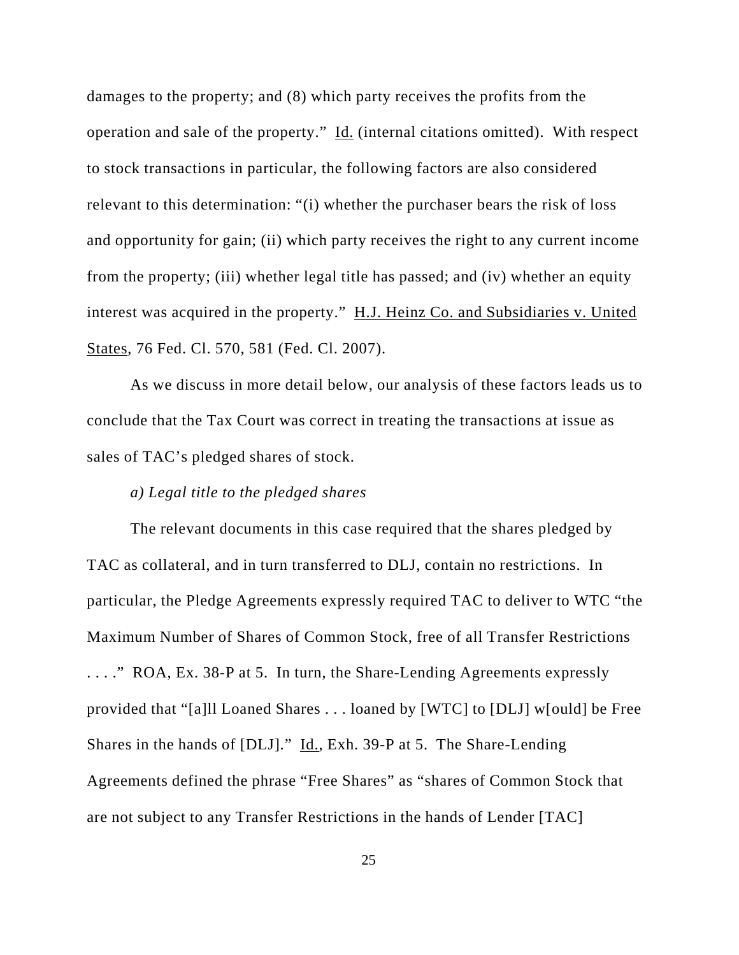damages to the property; and (8) which party receives the profits from the operation and sale of the property." Id. (internal citations omitted). With respect to stock transactions in particular, the following factors are also considered relevant to this determination: "(i) whether the purchaser bears the risk of loss and opportunity for gain; (ii) which party receives the right to any current income from the property; (iii) whether legal title has passed; and (iv) whether an equity interest was acquired in the property." H.J. Heinz Co. and Subsidiaries v. United States, 76 Fed. Cl. 570, 581 (Fed. Cl. 2007).

As we discuss in more detail below, our analysis of these factors leads us to conclude that the Tax Court was correct in treating the transactions at issue as sales of TAC's pledged shares of stock.

## *a) Legal title to the pledged shares*

The relevant documents in this case required that the shares pledged by TAC as collateral, and in turn transferred to DLJ, contain no restrictions. In particular, the Pledge Agreements expressly required TAC to deliver to WTC "the Maximum Number of Shares of Common Stock, free of all Transfer Restrictions . . . ." ROA, Ex. 38-P at 5. In turn, the Share-Lending Agreements expressly provided that "[a]ll Loaned Shares . . . loaned by [WTC] to [DLJ] w[ould] be Free Shares in the hands of [DLJ]." Id., Exh. 39-P at 5. The Share-Lending Agreements defined the phrase "Free Shares" as "shares of Common Stock that are not subject to any Transfer Restrictions in the hands of Lender [TAC]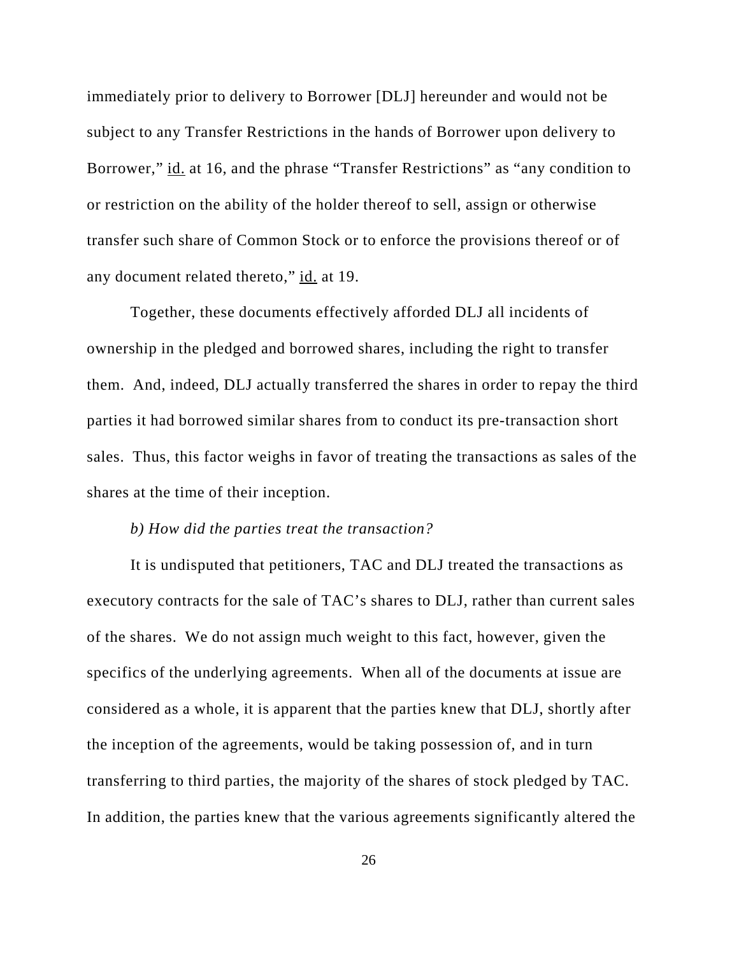immediately prior to delivery to Borrower [DLJ] hereunder and would not be subject to any Transfer Restrictions in the hands of Borrower upon delivery to Borrower," id. at 16, and the phrase "Transfer Restrictions" as "any condition to or restriction on the ability of the holder thereof to sell, assign or otherwise transfer such share of Common Stock or to enforce the provisions thereof or of any document related thereto," id. at 19.

Together, these documents effectively afforded DLJ all incidents of ownership in the pledged and borrowed shares, including the right to transfer them. And, indeed, DLJ actually transferred the shares in order to repay the third parties it had borrowed similar shares from to conduct its pre-transaction short sales. Thus, this factor weighs in favor of treating the transactions as sales of the shares at the time of their inception.

#### *b) How did the parties treat the transaction?*

It is undisputed that petitioners, TAC and DLJ treated the transactions as executory contracts for the sale of TAC's shares to DLJ, rather than current sales of the shares. We do not assign much weight to this fact, however, given the specifics of the underlying agreements. When all of the documents at issue are considered as a whole, it is apparent that the parties knew that DLJ, shortly after the inception of the agreements, would be taking possession of, and in turn transferring to third parties, the majority of the shares of stock pledged by TAC. In addition, the parties knew that the various agreements significantly altered the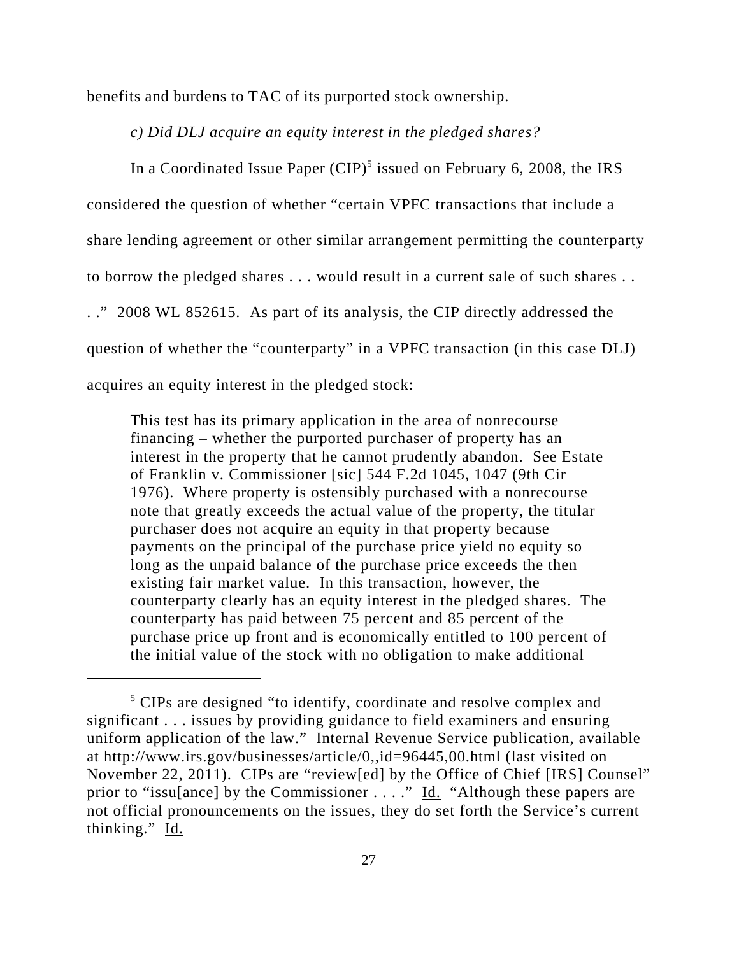benefits and burdens to TAC of its purported stock ownership.

*c) Did DLJ acquire an equity interest in the pledged shares?*

In a Coordinated Issue Paper  $(CIP)^5$  issued on February 6, 2008, the IRS considered the question of whether "certain VPFC transactions that include a share lending agreement or other similar arrangement permitting the counterparty to borrow the pledged shares . . . would result in a current sale of such shares . . . ." 2008 WL 852615. As part of its analysis, the CIP directly addressed the question of whether the "counterparty" in a VPFC transaction (in this case DLJ) acquires an equity interest in the pledged stock:

This test has its primary application in the area of nonrecourse financing – whether the purported purchaser of property has an interest in the property that he cannot prudently abandon. See Estate of Franklin v. Commissioner [sic] 544 F.2d 1045, 1047 (9th Cir 1976). Where property is ostensibly purchased with a nonrecourse note that greatly exceeds the actual value of the property, the titular purchaser does not acquire an equity in that property because payments on the principal of the purchase price yield no equity so long as the unpaid balance of the purchase price exceeds the then existing fair market value. In this transaction, however, the counterparty clearly has an equity interest in the pledged shares. The counterparty has paid between 75 percent and 85 percent of the purchase price up front and is economically entitled to 100 percent of the initial value of the stock with no obligation to make additional

<sup>&</sup>lt;sup>5</sup> CIPs are designed "to identify, coordinate and resolve complex and significant . . . issues by providing guidance to field examiners and ensuring uniform application of the law." Internal Revenue Service publication, available at http://www.irs.gov/businesses/article/0,,id=96445,00.html (last visited on November 22, 2011). CIPs are "review[ed] by the Office of Chief [IRS] Counsel" prior to "issu[ance] by the Commissioner . . . ." Id. "Although these papers are not official pronouncements on the issues, they do set forth the Service's current thinking." Id.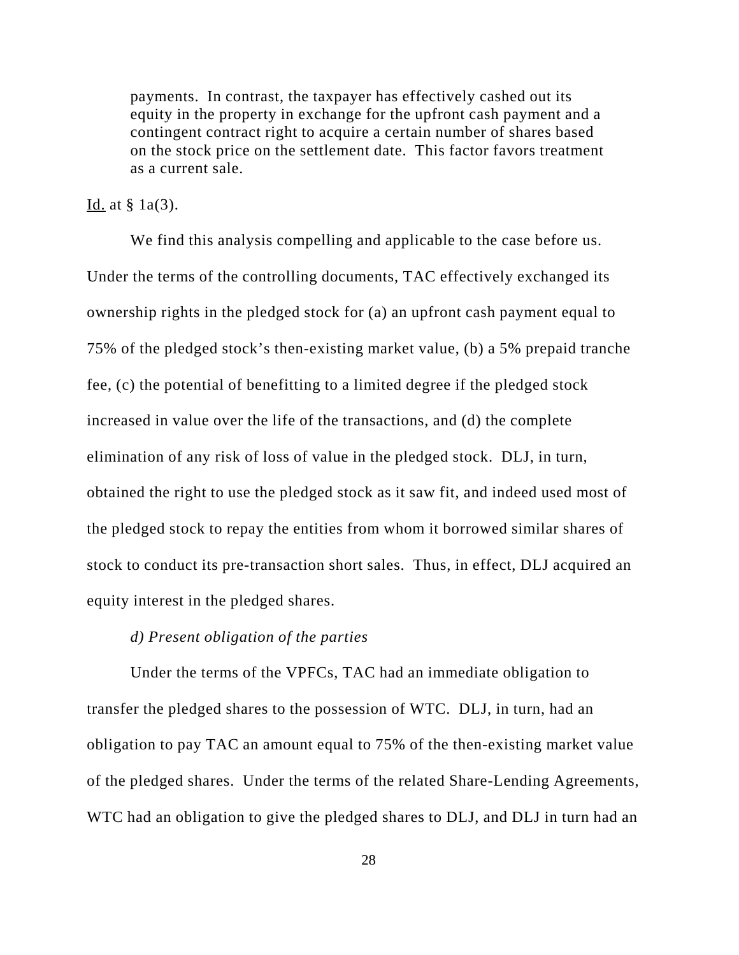payments. In contrast, the taxpayer has effectively cashed out its equity in the property in exchange for the upfront cash payment and a contingent contract right to acquire a certain number of shares based on the stock price on the settlement date. This factor favors treatment as a current sale.

#### Id. at  $\S$  1a(3).

We find this analysis compelling and applicable to the case before us. Under the terms of the controlling documents, TAC effectively exchanged its ownership rights in the pledged stock for (a) an upfront cash payment equal to 75% of the pledged stock's then-existing market value, (b) a 5% prepaid tranche fee, (c) the potential of benefitting to a limited degree if the pledged stock increased in value over the life of the transactions, and (d) the complete elimination of any risk of loss of value in the pledged stock. DLJ, in turn, obtained the right to use the pledged stock as it saw fit, and indeed used most of the pledged stock to repay the entities from whom it borrowed similar shares of stock to conduct its pre-transaction short sales. Thus, in effect, DLJ acquired an equity interest in the pledged shares.

## *d) Present obligation of the parties*

Under the terms of the VPFCs, TAC had an immediate obligation to transfer the pledged shares to the possession of WTC. DLJ, in turn, had an obligation to pay TAC an amount equal to 75% of the then-existing market value of the pledged shares. Under the terms of the related Share-Lending Agreements, WTC had an obligation to give the pledged shares to DLJ, and DLJ in turn had an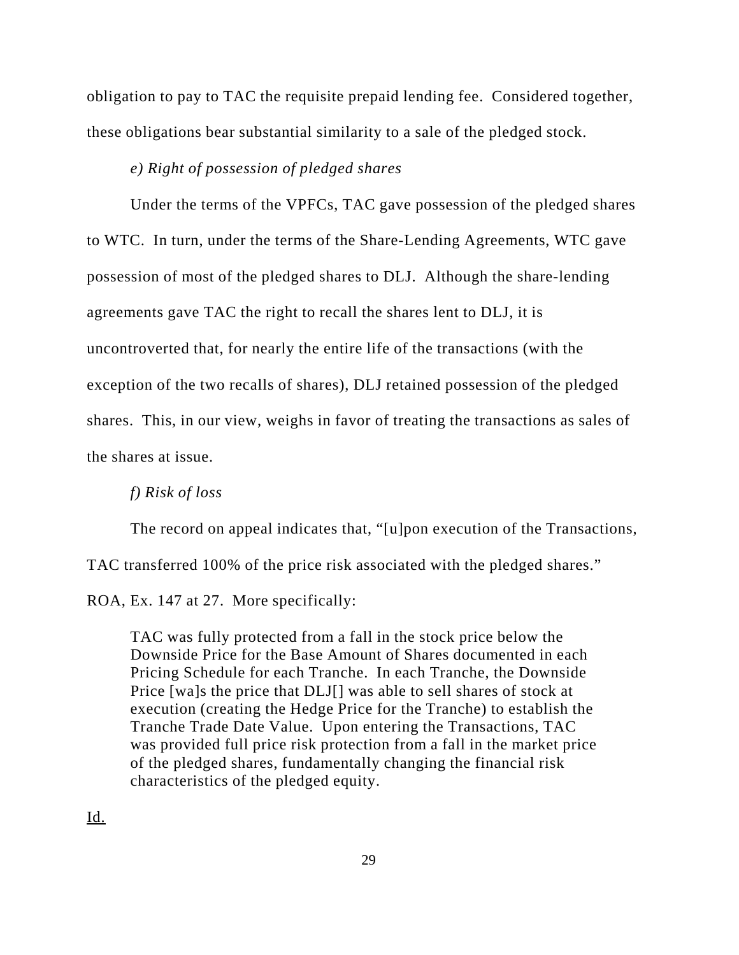obligation to pay to TAC the requisite prepaid lending fee. Considered together, these obligations bear substantial similarity to a sale of the pledged stock.

## *e) Right of possession of pledged shares*

Under the terms of the VPFCs, TAC gave possession of the pledged shares to WTC. In turn, under the terms of the Share-Lending Agreements, WTC gave possession of most of the pledged shares to DLJ. Although the share-lending agreements gave TAC the right to recall the shares lent to DLJ, it is uncontroverted that, for nearly the entire life of the transactions (with the exception of the two recalls of shares), DLJ retained possession of the pledged shares. This, in our view, weighs in favor of treating the transactions as sales of the shares at issue.

#### *f) Risk of loss*

The record on appeal indicates that, "[u]pon execution of the Transactions,

TAC transferred 100% of the price risk associated with the pledged shares."

ROA, Ex. 147 at 27. More specifically:

TAC was fully protected from a fall in the stock price below the Downside Price for the Base Amount of Shares documented in each Pricing Schedule for each Tranche. In each Tranche, the Downside Price [wa]s the price that DLJ[] was able to sell shares of stock at execution (creating the Hedge Price for the Tranche) to establish the Tranche Trade Date Value. Upon entering the Transactions, TAC was provided full price risk protection from a fall in the market price of the pledged shares, fundamentally changing the financial risk characteristics of the pledged equity.

Id.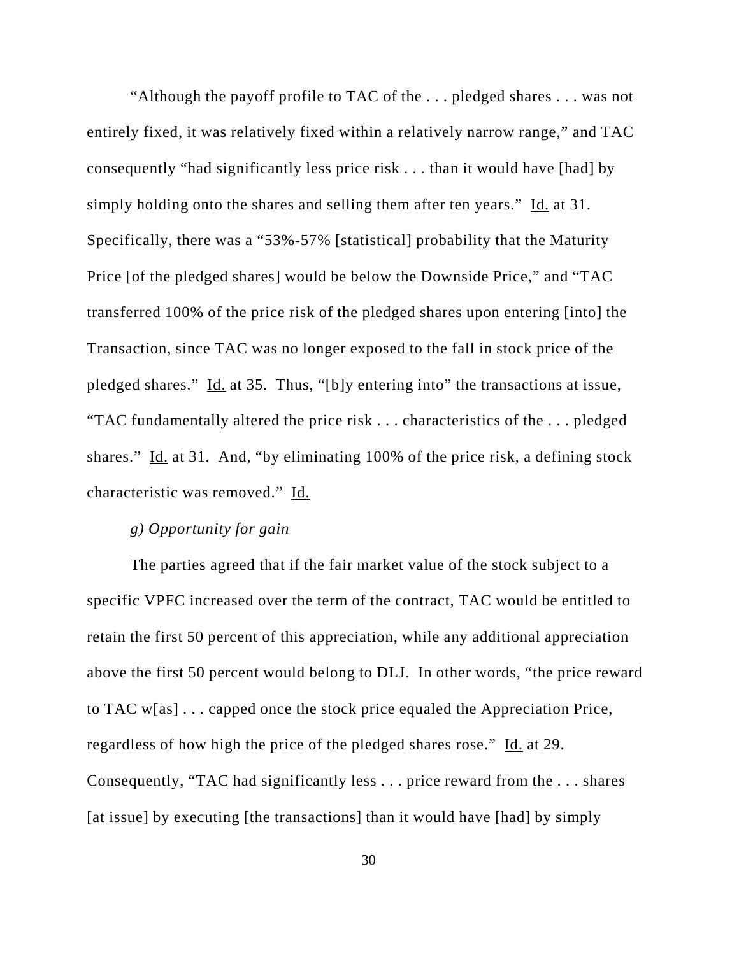"Although the payoff profile to TAC of the . . . pledged shares . . . was not entirely fixed, it was relatively fixed within a relatively narrow range," and TAC consequently "had significantly less price risk . . . than it would have [had] by simply holding onto the shares and selling them after ten years." Id. at 31. Specifically, there was a "53%-57% [statistical] probability that the Maturity Price [of the pledged shares] would be below the Downside Price," and "TAC transferred 100% of the price risk of the pledged shares upon entering [into] the Transaction, since TAC was no longer exposed to the fall in stock price of the pledged shares." Id. at 35. Thus, "[b]y entering into" the transactions at issue, "TAC fundamentally altered the price risk . . . characteristics of the . . . pledged shares." Id. at 31. And, "by eliminating 100% of the price risk, a defining stock characteristic was removed." Id.

#### *g) Opportunity for gain*

The parties agreed that if the fair market value of the stock subject to a specific VPFC increased over the term of the contract, TAC would be entitled to retain the first 50 percent of this appreciation, while any additional appreciation above the first 50 percent would belong to DLJ. In other words, "the price reward to TAC w[as] . . . capped once the stock price equaled the Appreciation Price, regardless of how high the price of the pledged shares rose." Id. at 29. Consequently, "TAC had significantly less . . . price reward from the . . . shares [at issue] by executing [the transactions] than it would have [had] by simply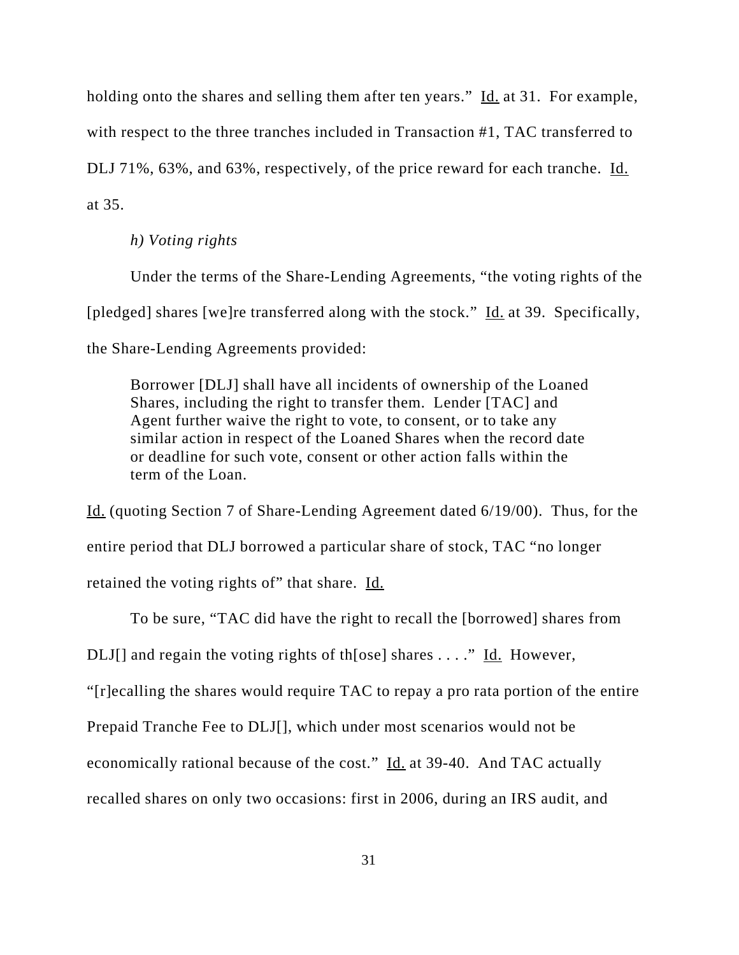holding onto the shares and selling them after ten years." Id. at 31. For example, with respect to the three tranches included in Transaction #1, TAC transferred to DLJ 71%, 63%, and 63%, respectively, of the price reward for each tranche. Id. at 35.

## *h) Voting rights*

Under the terms of the Share-Lending Agreements, "the voting rights of the [pledged] shares [we]re transferred along with the stock." Id. at 39. Specifically, the Share-Lending Agreements provided:

Borrower [DLJ] shall have all incidents of ownership of the Loaned Shares, including the right to transfer them. Lender [TAC] and Agent further waive the right to vote, to consent, or to take any similar action in respect of the Loaned Shares when the record date or deadline for such vote, consent or other action falls within the term of the Loan.

Id. (quoting Section 7 of Share-Lending Agreement dated 6/19/00). Thus, for the entire period that DLJ borrowed a particular share of stock, TAC "no longer retained the voting rights of" that share. Id.

To be sure, "TAC did have the right to recall the [borrowed] shares from

DLJ[] and regain the voting rights of th[ose] shares  $\dots$ ." Id. However,

"[r]ecalling the shares would require TAC to repay a pro rata portion of the entire

Prepaid Tranche Fee to DLJ[], which under most scenarios would not be

economically rational because of the cost." Id. at 39-40. And TAC actually

recalled shares on only two occasions: first in 2006, during an IRS audit, and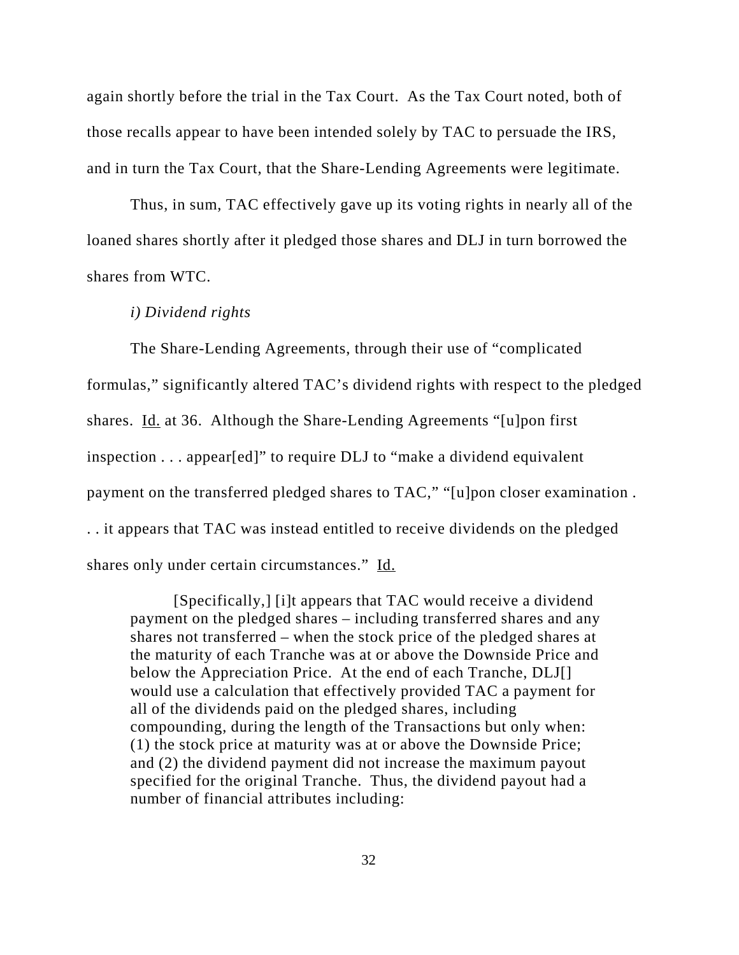again shortly before the trial in the Tax Court. As the Tax Court noted, both of those recalls appear to have been intended solely by TAC to persuade the IRS, and in turn the Tax Court, that the Share-Lending Agreements were legitimate.

Thus, in sum, TAC effectively gave up its voting rights in nearly all of the loaned shares shortly after it pledged those shares and DLJ in turn borrowed the shares from WTC.

#### *i) Dividend rights*

The Share-Lending Agreements, through their use of "complicated formulas," significantly altered TAC's dividend rights with respect to the pledged shares. Id. at 36. Although the Share-Lending Agreements "[u]pon first inspection . . . appear[ed]" to require DLJ to "make a dividend equivalent payment on the transferred pledged shares to TAC," "[u]pon closer examination . . . it appears that TAC was instead entitled to receive dividends on the pledged shares only under certain circumstances." Id.

[Specifically,] [i]t appears that TAC would receive a dividend payment on the pledged shares – including transferred shares and any shares not transferred – when the stock price of the pledged shares at the maturity of each Tranche was at or above the Downside Price and below the Appreciation Price. At the end of each Tranche, DLJ[] would use a calculation that effectively provided TAC a payment for all of the dividends paid on the pledged shares, including compounding, during the length of the Transactions but only when: (1) the stock price at maturity was at or above the Downside Price; and (2) the dividend payment did not increase the maximum payout specified for the original Tranche. Thus, the dividend payout had a number of financial attributes including: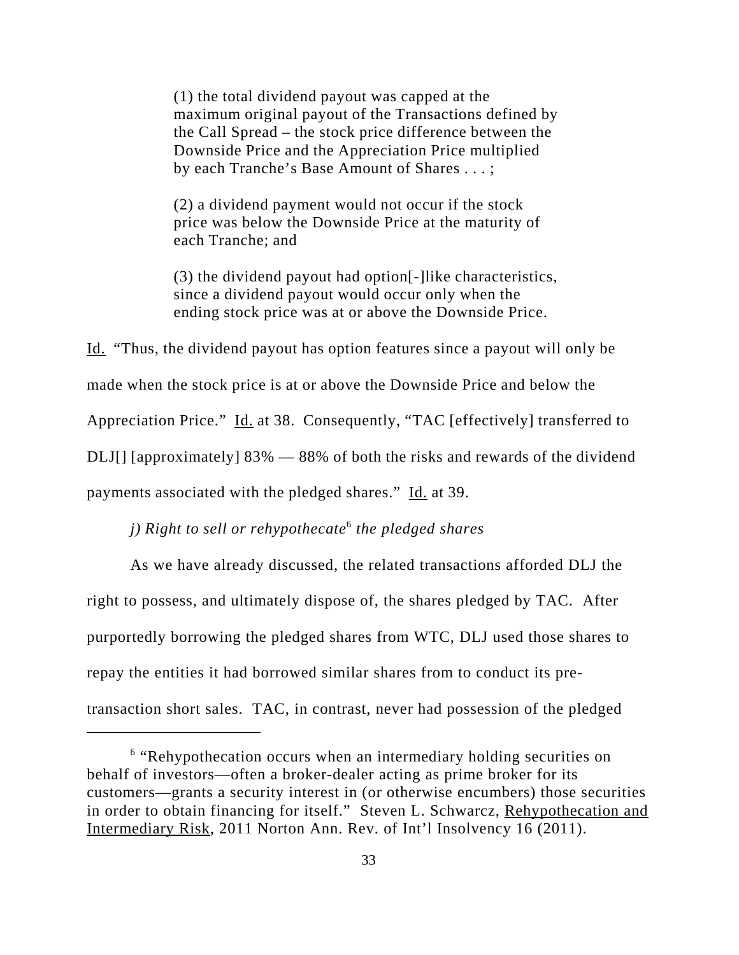(1) the total dividend payout was capped at the maximum original payout of the Transactions defined by the Call Spread – the stock price difference between the Downside Price and the Appreciation Price multiplied by each Tranche's Base Amount of Shares . . . ;

(2) a dividend payment would not occur if the stock price was below the Downside Price at the maturity of each Tranche; and

(3) the dividend payout had option[-]like characteristics, since a dividend payout would occur only when the ending stock price was at or above the Downside Price.

Id. "Thus, the dividend payout has option features since a payout will only be made when the stock price is at or above the Downside Price and below the Appreciation Price." Id. at 38. Consequently, "TAC [effectively] transferred to DLJ[] [approximately] 83% — 88% of both the risks and rewards of the dividend payments associated with the pledged shares." Id. at 39.

## *j) Right to sell or rehypothecate*<sup>6</sup>  *the pledged shares*

As we have already discussed, the related transactions afforded DLJ the right to possess, and ultimately dispose of, the shares pledged by TAC. After purportedly borrowing the pledged shares from WTC, DLJ used those shares to repay the entities it had borrowed similar shares from to conduct its pretransaction short sales. TAC, in contrast, never had possession of the pledged

<sup>&</sup>lt;sup>6</sup> "Rehypothecation occurs when an intermediary holding securities on behalf of investors—often a broker-dealer acting as prime broker for its customers—grants a security interest in (or otherwise encumbers) those securities in order to obtain financing for itself." Steven L. Schwarcz, Rehypothecation and Intermediary Risk, 2011 Norton Ann. Rev. of Int'l Insolvency 16 (2011).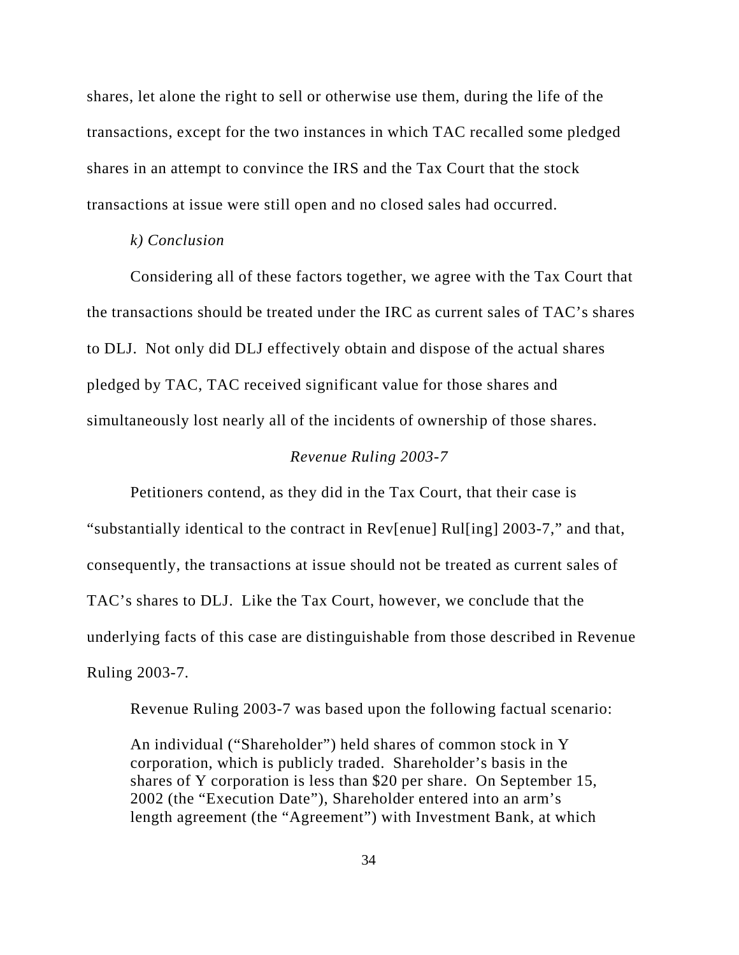shares, let alone the right to sell or otherwise use them, during the life of the transactions, except for the two instances in which TAC recalled some pledged shares in an attempt to convince the IRS and the Tax Court that the stock transactions at issue were still open and no closed sales had occurred.

## *k) Conclusion*

Considering all of these factors together, we agree with the Tax Court that the transactions should be treated under the IRC as current sales of TAC's shares to DLJ. Not only did DLJ effectively obtain and dispose of the actual shares pledged by TAC, TAC received significant value for those shares and simultaneously lost nearly all of the incidents of ownership of those shares.

#### *Revenue Ruling 2003-7*

Petitioners contend, as they did in the Tax Court, that their case is "substantially identical to the contract in Rev[enue] Rul[ing] 2003-7," and that, consequently, the transactions at issue should not be treated as current sales of TAC's shares to DLJ. Like the Tax Court, however, we conclude that the underlying facts of this case are distinguishable from those described in Revenue Ruling 2003-7.

Revenue Ruling 2003-7 was based upon the following factual scenario:

An individual ("Shareholder") held shares of common stock in Y corporation, which is publicly traded. Shareholder's basis in the shares of Y corporation is less than \$20 per share. On September 15, 2002 (the "Execution Date"), Shareholder entered into an arm's length agreement (the "Agreement") with Investment Bank, at which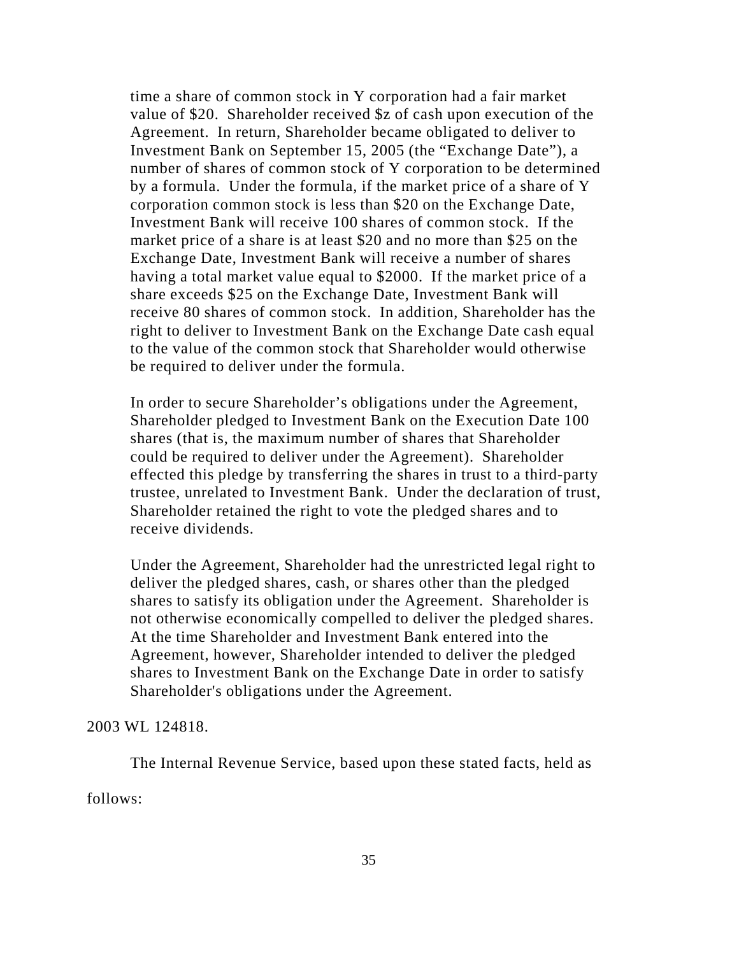time a share of common stock in Y corporation had a fair market value of \$20. Shareholder received \$z of cash upon execution of the Agreement. In return, Shareholder became obligated to deliver to Investment Bank on September 15, 2005 (the "Exchange Date"), a number of shares of common stock of Y corporation to be determined by a formula. Under the formula, if the market price of a share of Y corporation common stock is less than \$20 on the Exchange Date, Investment Bank will receive 100 shares of common stock. If the market price of a share is at least \$20 and no more than \$25 on the Exchange Date, Investment Bank will receive a number of shares having a total market value equal to \$2000. If the market price of a share exceeds \$25 on the Exchange Date, Investment Bank will receive 80 shares of common stock. In addition, Shareholder has the right to deliver to Investment Bank on the Exchange Date cash equal to the value of the common stock that Shareholder would otherwise be required to deliver under the formula.

In order to secure Shareholder's obligations under the Agreement, Shareholder pledged to Investment Bank on the Execution Date 100 shares (that is, the maximum number of shares that Shareholder could be required to deliver under the Agreement). Shareholder effected this pledge by transferring the shares in trust to a third-party trustee, unrelated to Investment Bank. Under the declaration of trust, Shareholder retained the right to vote the pledged shares and to receive dividends.

Under the Agreement, Shareholder had the unrestricted legal right to deliver the pledged shares, cash, or shares other than the pledged shares to satisfy its obligation under the Agreement. Shareholder is not otherwise economically compelled to deliver the pledged shares. At the time Shareholder and Investment Bank entered into the Agreement, however, Shareholder intended to deliver the pledged shares to Investment Bank on the Exchange Date in order to satisfy Shareholder's obligations under the Agreement.

#### 2003 WL 124818.

The Internal Revenue Service, based upon these stated facts, held as

follows: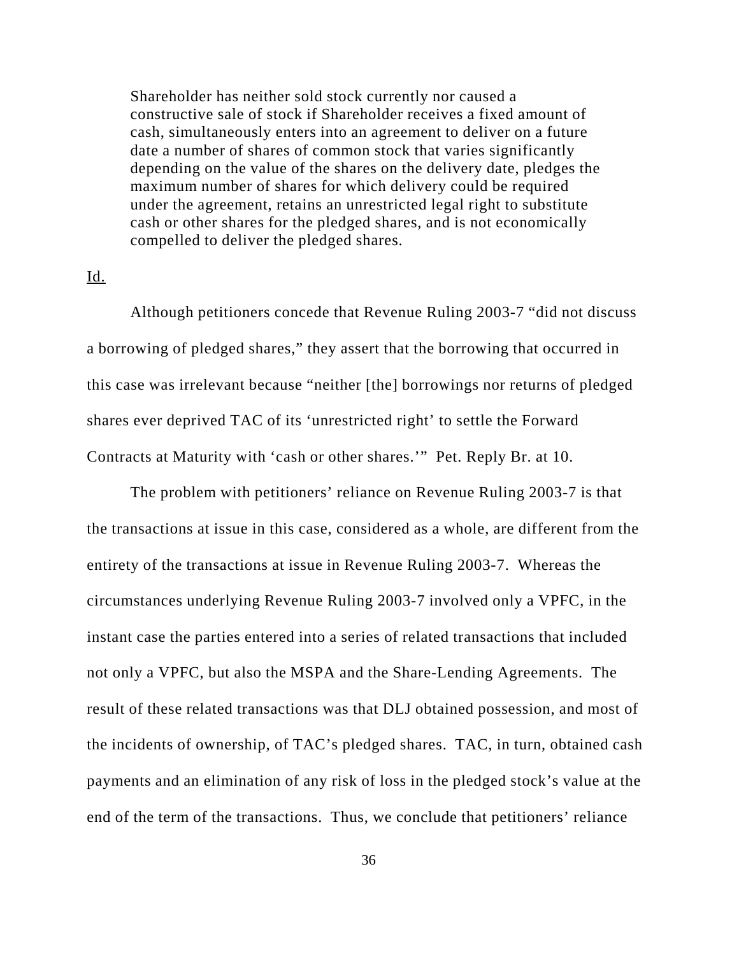Shareholder has neither sold stock currently nor caused a constructive sale of stock if Shareholder receives a fixed amount of cash, simultaneously enters into an agreement to deliver on a future date a number of shares of common stock that varies significantly depending on the value of the shares on the delivery date, pledges the maximum number of shares for which delivery could be required under the agreement, retains an unrestricted legal right to substitute cash or other shares for the pledged shares, and is not economically compelled to deliver the pledged shares.

#### Id.

Although petitioners concede that Revenue Ruling 2003-7 "did not discuss a borrowing of pledged shares," they assert that the borrowing that occurred in this case was irrelevant because "neither [the] borrowings nor returns of pledged shares ever deprived TAC of its 'unrestricted right' to settle the Forward Contracts at Maturity with 'cash or other shares.'" Pet. Reply Br. at 10.

The problem with petitioners' reliance on Revenue Ruling 2003-7 is that the transactions at issue in this case, considered as a whole, are different from the entirety of the transactions at issue in Revenue Ruling 2003-7. Whereas the circumstances underlying Revenue Ruling 2003-7 involved only a VPFC, in the instant case the parties entered into a series of related transactions that included not only a VPFC, but also the MSPA and the Share-Lending Agreements. The result of these related transactions was that DLJ obtained possession, and most of the incidents of ownership, of TAC's pledged shares. TAC, in turn, obtained cash payments and an elimination of any risk of loss in the pledged stock's value at the end of the term of the transactions. Thus, we conclude that petitioners' reliance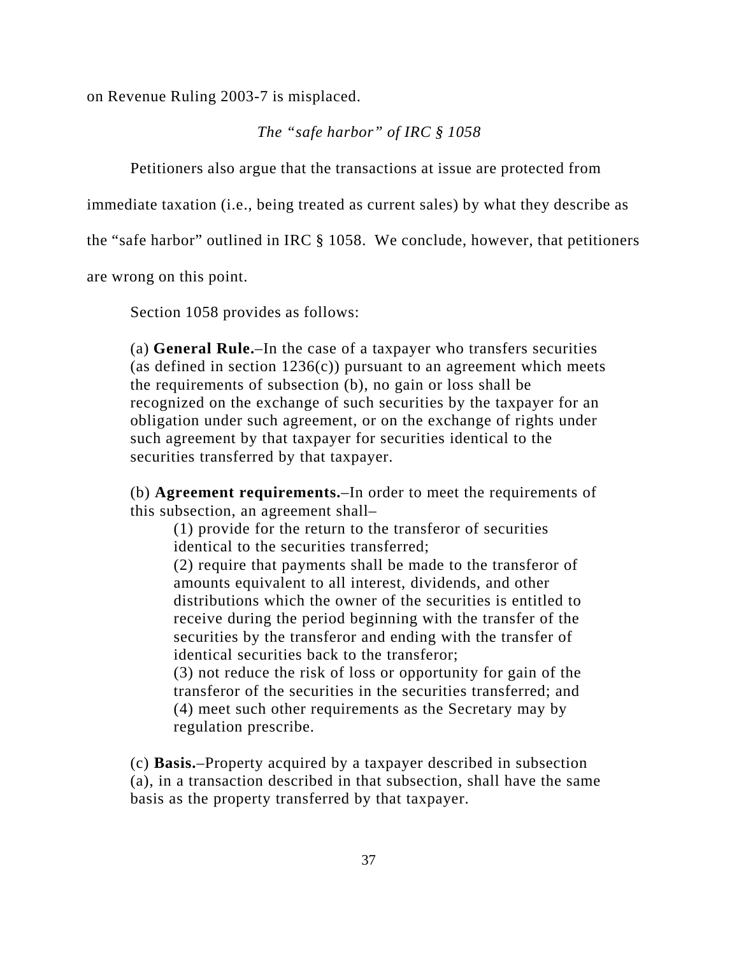on Revenue Ruling 2003-7 is misplaced.

## *The "safe harbor" of IRC § 1058*

Petitioners also argue that the transactions at issue are protected from

immediate taxation (i.e., being treated as current sales) by what they describe as

the "safe harbor" outlined in IRC § 1058. We conclude, however, that petitioners

are wrong on this point.

Section 1058 provides as follows:

(a) **General Rule.**–In the case of a taxpayer who transfers securities (as defined in section  $1236(c)$ ) pursuant to an agreement which meets the requirements of subsection (b), no gain or loss shall be recognized on the exchange of such securities by the taxpayer for an obligation under such agreement, or on the exchange of rights under such agreement by that taxpayer for securities identical to the securities transferred by that taxpayer.

(b) **Agreement requirements.**–In order to meet the requirements of this subsection, an agreement shall–

(1) provide for the return to the transferor of securities identical to the securities transferred;

(2) require that payments shall be made to the transferor of amounts equivalent to all interest, dividends, and other distributions which the owner of the securities is entitled to receive during the period beginning with the transfer of the securities by the transferor and ending with the transfer of identical securities back to the transferor;

(3) not reduce the risk of loss or opportunity for gain of the transferor of the securities in the securities transferred; and (4) meet such other requirements as the Secretary may by regulation prescribe.

(c) **Basis.**–Property acquired by a taxpayer described in subsection (a), in a transaction described in that subsection, shall have the same basis as the property transferred by that taxpayer.